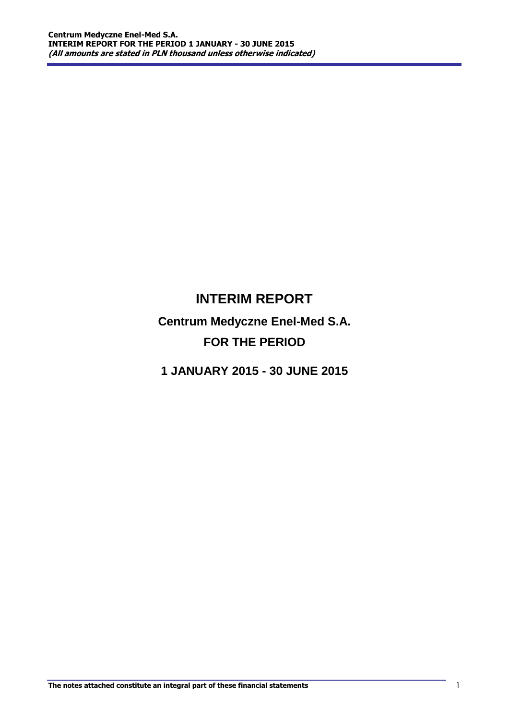# **INTERIM REPORT**

**Centrum Medyczne Enel-Med S.A. FOR THE PERIOD** 

**1 JANUARY 2015 - 30 JUNE 2015**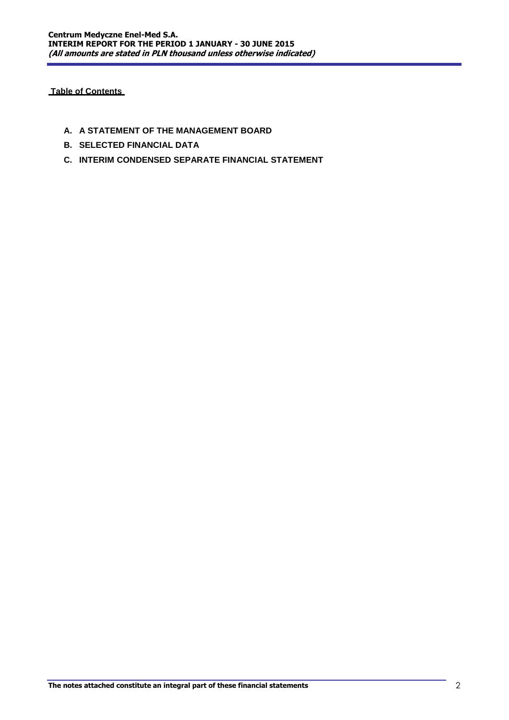**Table of Contents** 

- **A. A STATEMENT OF THE MANAGEMENT BOARD**
- **B. SELECTED FINANCIAL DATA**
- **C. INTERIM CONDENSED SEPARATE FINANCIAL STATEMENT**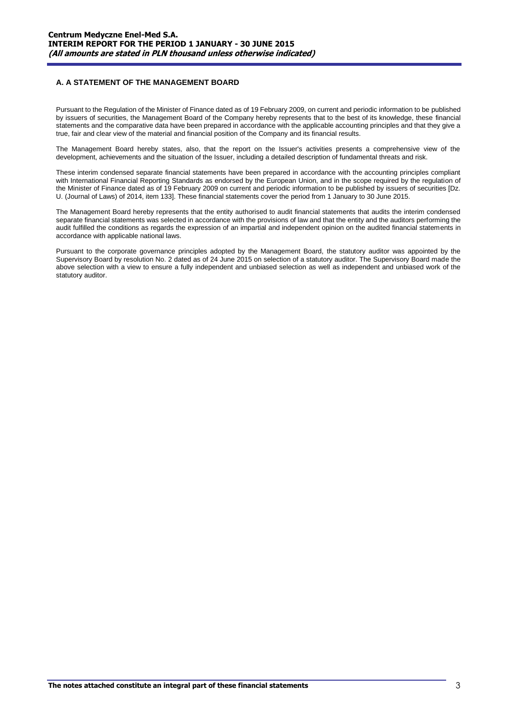## **A. A STATEMENT OF THE MANAGEMENT BOARD**

Pursuant to the Regulation of the Minister of Finance dated as of 19 February 2009, on current and periodic information to be published by issuers of securities, the Management Board of the Company hereby represents that to the best of its knowledge, these financial statements and the comparative data have been prepared in accordance with the applicable accounting principles and that they give a true, fair and clear view of the material and financial position of the Company and its financial results.

The Management Board hereby states, also, that the report on the Issuer's activities presents a comprehensive view of the development, achievements and the situation of the Issuer, including a detailed description of fundamental threats and risk.

These interim condensed separate financial statements have been prepared in accordance with the accounting principles compliant with International Financial Reporting Standards as endorsed by the European Union, and in the scope required by the regulation of the Minister of Finance dated as of 19 February 2009 on current and periodic information to be published by issuers of securities [Dz. U. (Journal of Laws) of 2014, item 133]. These financial statements cover the period from 1 January to 30 June 2015.

The Management Board hereby represents that the entity authorised to audit financial statements that audits the interim condensed separate financial statements was selected in accordance with the provisions of law and that the entity and the auditors performing the audit fulfilled the conditions as regards the expression of an impartial and independent opinion on the audited financial statements in accordance with applicable national laws.

Pursuant to the corporate governance principles adopted by the Management Board, the statutory auditor was appointed by the Supervisory Board by resolution No. 2 dated as of 24 June 2015 on selection of a statutory auditor. The Supervisory Board made the above selection with a view to ensure a fully independent and unbiased selection as well as independent and unbiased work of the statutory auditor.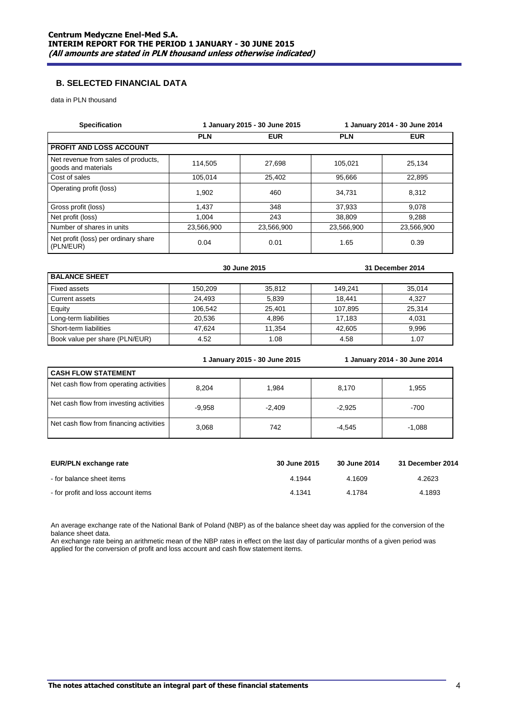## **B. SELECTED FINANCIAL DATA**

data in PLN thousand

| <b>Specification</b>                                       |            | 1 January 2015 - 30 June 2015 | 1 January 2014 - 30 June 2014 |            |  |
|------------------------------------------------------------|------------|-------------------------------|-------------------------------|------------|--|
|                                                            | <b>PLN</b> | <b>EUR</b>                    |                               | <b>EUR</b> |  |
| <b>PROFIT AND LOSS ACCOUNT</b>                             |            |                               |                               |            |  |
| Net revenue from sales of products,<br>goods and materials | 114.505    | 27,698                        | 105.021                       | 25,134     |  |
| Cost of sales                                              | 105.014    | 25,402                        | 95.666                        | 22,895     |  |
| Operating profit (loss)                                    | 1.902      | 460                           | 34.731                        | 8.312      |  |
| Gross profit (loss)                                        | 1.437      | 348                           | 37.933                        | 9.078      |  |
| Net profit (loss)                                          | 1.004      | 243                           | 38,809                        | 9,288      |  |
| Number of shares in units                                  | 23,566,900 | 23,566,900                    | 23,566,900                    | 23,566,900 |  |
| Net profit (loss) per ordinary share<br>(PLN/EUR)          | 0.04       | 0.01                          | 1.65                          | 0.39       |  |

|                                |         | 30 June 2015 |         | 31 December 2014 |
|--------------------------------|---------|--------------|---------|------------------|
| <b>BALANCE SHEET</b>           |         |              |         |                  |
| Fixed assets                   | 150.209 | 35.812       | 149.241 | 35.014           |
| Current assets                 | 24.493  | 5.839        | 18.441  | 4.327            |
| Equity                         | 106.542 | 25,401       | 107,895 | 25,314           |
| Long-term liabilities          | 20.536  | 4.896        | 17.183  | 4.031            |
| Short-term liabilities         | 47.624  | 11.354       | 42.605  | 9.996            |
| Book value per share (PLN/EUR) | 4.52    | 1.08         | 4.58    | 1.07             |

|                                         |          | 1 January 2015 - 30 June 2015 |          | 1 January 2014 - 30 June 2014 |  |  |  |
|-----------------------------------------|----------|-------------------------------|----------|-------------------------------|--|--|--|
| <b>CASH FLOW STATEMENT</b>              |          |                               |          |                               |  |  |  |
| Net cash flow from operating activities | 8.204    | 1,984                         | 8,170    | 1,955                         |  |  |  |
| Net cash flow from investing activities | $-9,958$ | $-2,409$                      | $-2.925$ | $-700$                        |  |  |  |
| Net cash flow from financing activities | 3,068    | 742                           | $-4.545$ | $-1,088$                      |  |  |  |

| EUR/PLN exchange rate               | 30 June 2015 | 30 June 2014 | 31 December 2014 |
|-------------------------------------|--------------|--------------|------------------|
| for balance sheet items             | 4.1944       | 4.1609       | 4.2623           |
| - for profit and loss account items | 4.1341       | 4.1784       | 4.1893           |

An average exchange rate of the National Bank of Poland (NBP) as of the balance sheet day was applied for the conversion of the balance sheet data.

An exchange rate being an arithmetic mean of the NBP rates in effect on the last day of particular months of a given period was applied for the conversion of profit and loss account and cash flow statement items.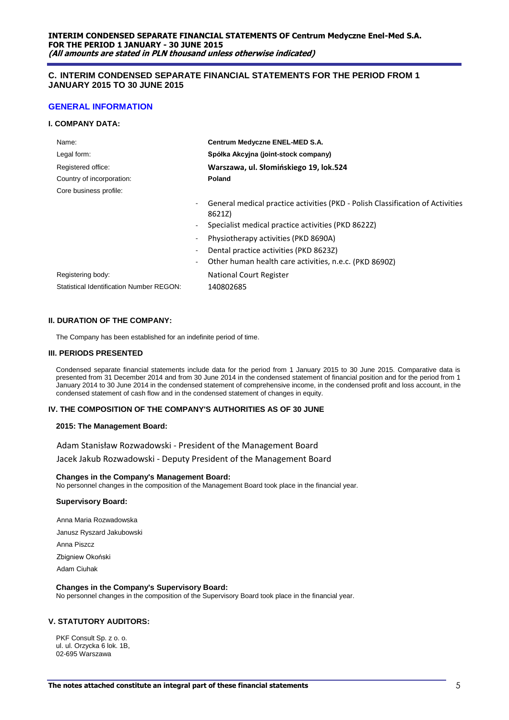## **C. INTERIM CONDENSED SEPARATE FINANCIAL STATEMENTS FOR THE PERIOD FROM 1 JANUARY 2015 TO 30 JUNE 2015**

## **GENERAL INFORMATION**

#### **I. COMPANY DATA:**

| Name:                                                                | Centrum Medyczne ENEL-MED S.A.                                                           |
|----------------------------------------------------------------------|------------------------------------------------------------------------------------------|
| Legal form:                                                          | Spółka Akcyjna (joint-stock company)                                                     |
| Registered office:                                                   | Warszawa, ul. Słomińskiego 19, lok.524                                                   |
| Country of incorporation:                                            | Poland                                                                                   |
| Core business profile:                                               |                                                                                          |
| ۰.                                                                   | General medical practice activities (PKD - Polish Classification of Activities<br>8621Z) |
| $\blacksquare$                                                       | Specialist medical practice activities (PKD 8622Z)                                       |
|                                                                      | Physiotherapy activities (PKD 8690A)                                                     |
|                                                                      | Dental practice activities (PKD 8623Z)                                                   |
| $\blacksquare$                                                       | Other human health care activities, n.e.c. (PKD 8690Z)                                   |
| Registering body:<br><b>Statistical Identification Number REGON:</b> | National Court Register<br>140802685                                                     |

#### **II. DURATION OF THE COMPANY:**

The Company has been established for an indefinite period of time.

#### **III. PERIODS PRESENTED**

Condensed separate financial statements include data for the period from 1 January 2015 to 30 June 2015. Comparative data is presented from 31 December 2014 and from 30 June 2014 in the condensed statement of financial position and for the period from 1 January 2014 to 30 June 2014 in the condensed statement of comprehensive income, in the condensed profit and loss account, in the condensed statement of cash flow and in the condensed statement of changes in equity.

#### **IV. THE COMPOSITION OF THE COMPANY'S AUTHORITIES AS OF 30 JUNE**

#### **2015: The Management Board:**

Adam Stanisław Rozwadowski - President of the Management Board Jacek Jakub Rozwadowski - Deputy President of the Management Board

#### **Changes in the Company's Management Board:**

No personnel changes in the composition of the Management Board took place in the financial year.

#### **Supervisory Board:**

Anna Maria Rozwadowska

Janusz Ryszard Jakubowski

Anna Piszcz

Zbigniew Okoński

Adam Ciuhak

#### **Changes in the Company's Supervisory Board:**

No personnel changes in the composition of the Supervisory Board took place in the financial year.

#### **V. STATUTORY AUDITORS:**

PKF Consult Sp. z o. o. ul. ul. Orzycka 6 lok. 1B, 02-695 Warszawa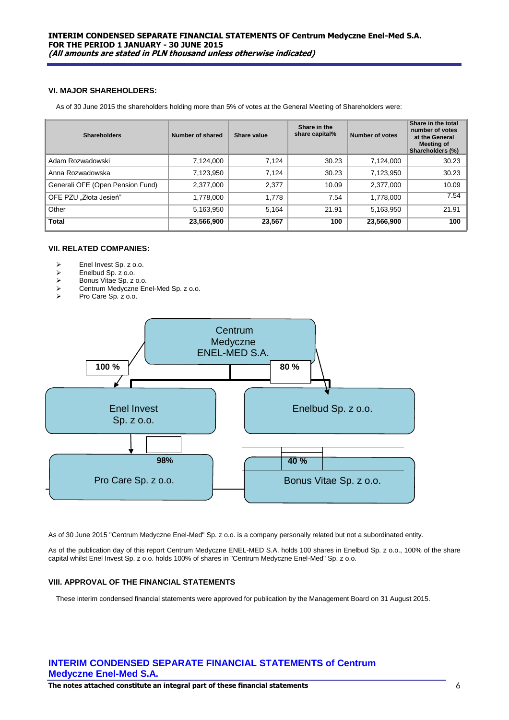## **VI. MAJOR SHAREHOLDERS:**

As of 30 June 2015 the shareholders holding more than 5% of votes at the General Meeting of Shareholders were:

| <b>Shareholders</b>              | Number of shared | Share value | Share in the<br>share capital% | Number of votes | Share in the total<br>number of votes<br>at the General<br><b>Meeting of</b><br>Shareholders (%) |
|----------------------------------|------------------|-------------|--------------------------------|-----------------|--------------------------------------------------------------------------------------------------|
| Adam Rozwadowski                 | 7,124,000        | 7,124       | 30.23                          | 7,124,000       | 30.23                                                                                            |
| Anna Rozwadowska                 | 7,123,950        | 7,124       | 30.23                          | 7,123,950       | 30.23                                                                                            |
| Generali OFE (Open Pension Fund) | 2,377,000        | 2,377       | 10.09                          | 2,377,000       | 10.09                                                                                            |
| OFE PZU "Złota Jesień"           | 1,778,000        | 1.778       | 7.54                           | 1,778,000       | 7.54                                                                                             |
| Other                            | 5,163,950        | 5,164       | 21.91                          | 5,163,950       | 21.91                                                                                            |
| <b>Total</b>                     | 23,566,900       | 23,567      | 100                            | 23,566,900      | 100                                                                                              |

#### **VII. RELATED COMPANIES:**

- $\triangleright$  Enel Invest Sp. z o.o.<br> $\triangleright$  Enelbud Sp. z o.o.
- $\triangleright$  Enelbud Sp. z o.o.<br> $\triangleright$  Bonus Vitae Sp. z
- → Bonus Vitae Sp. z o.o.<br>→ Centrum Medvczne Er
- $\triangleright$  Centrum Medyczne Enel-Med Sp. z o.o.<br> $\triangleright$  Pro Care Sp. z o.o.
- Pro Care Sp. z o.o.



As of 30 June 2015 "Centrum Medyczne Enel-Med" Sp. z o.o. is a company personally related but not a subordinated entity.

As of the publication day of this report Centrum Medyczne ENEL-MED S.A. holds 100 shares in Enelbud Sp. z o.o., 100% of the share capital whilst Enel Invest Sp. z o.o. holds 100% of shares in "Centrum Medyczne Enel-Med" Sp. z o.o.

## **VIII. APPROVAL OF THE FINANCIAL STATEMENTS**

These interim condensed financial statements were approved for publication by the Management Board on 31 August 2015.

## **INTERIM CONDENSED SEPARATE FINANCIAL STATEMENTS of Centrum Medyczne Enel-Med S.A.**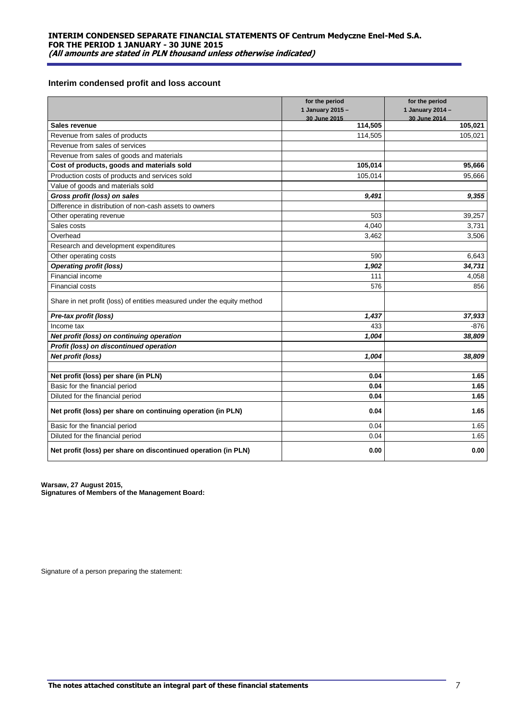## **Interim condensed profit and loss account**

|                                                                         | for the period          | for the period          |
|-------------------------------------------------------------------------|-------------------------|-------------------------|
|                                                                         | 1 January 2015 -        | 1 January 2014 -        |
|                                                                         | 30 June 2015<br>114,505 | 30 June 2014<br>105,021 |
| Sales revenue                                                           |                         |                         |
| Revenue from sales of products                                          | 114,505                 | 105,021                 |
| Revenue from sales of services                                          |                         |                         |
| Revenue from sales of goods and materials                               |                         |                         |
| Cost of products, goods and materials sold                              | 105,014                 | 95,666                  |
| Production costs of products and services sold                          | 105,014                 | 95,666                  |
| Value of goods and materials sold                                       |                         |                         |
| Gross profit (loss) on sales                                            | 9,491                   | 9,355                   |
| Difference in distribution of non-cash assets to owners                 |                         |                         |
| Other operating revenue                                                 | 503                     | 39,257                  |
| Sales costs                                                             | 4,040                   | 3,731                   |
| Overhead                                                                | 3,462                   | 3,506                   |
| Research and development expenditures                                   |                         |                         |
| Other operating costs                                                   | 590                     | 6,643                   |
| <b>Operating profit (loss)</b>                                          | 1,902                   | 34,731                  |
| Financial income                                                        | 111                     | 4,058                   |
| Financial costs                                                         | 576                     | 856                     |
| Share in net profit (loss) of entities measured under the equity method |                         |                         |
| Pre-tax profit (loss)                                                   | 1,437                   | 37,933                  |
| Income tax                                                              | 433                     | -876                    |
| Net profit (loss) on continuing operation                               | 1,004                   | 38,809                  |
| Profit (loss) on discontinued operation                                 |                         |                         |
| Net profit (loss)                                                       | 1,004                   | 38,809                  |
|                                                                         |                         |                         |
| Net profit (loss) per share (in PLN)                                    | 0.04                    | 1.65                    |
| Basic for the financial period                                          | 0.04                    | 1.65                    |
| Diluted for the financial period                                        | 0.04                    | 1.65                    |
| Net profit (loss) per share on continuing operation (in PLN)            | 0.04                    | 1.65                    |
| Basic for the financial period                                          | 0.04                    | 1.65                    |
| Diluted for the financial period                                        | 0.04                    | 1.65                    |
| Net profit (loss) per share on discontinued operation (in PLN)          | 0.00                    | 0.00                    |

**Warsaw, 27 August 2015, Signatures of Members of the Management Board:**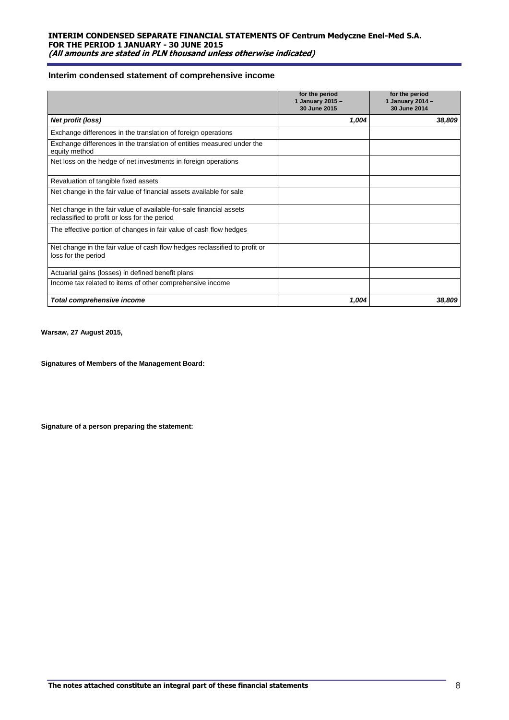## **Interim condensed statement of comprehensive income**

|                                                                                                                      | for the period<br>1 January 2015 -<br>30 June 2015 | for the period<br>1 January 2014 -<br>30 June 2014 |
|----------------------------------------------------------------------------------------------------------------------|----------------------------------------------------|----------------------------------------------------|
| Net profit (loss)                                                                                                    | 1,004                                              | 38,809                                             |
| Exchange differences in the translation of foreign operations                                                        |                                                    |                                                    |
| Exchange differences in the translation of entities measured under the<br>equity method                              |                                                    |                                                    |
| Net loss on the hedge of net investments in foreign operations                                                       |                                                    |                                                    |
| Revaluation of tangible fixed assets                                                                                 |                                                    |                                                    |
| Net change in the fair value of financial assets available for sale                                                  |                                                    |                                                    |
| Net change in the fair value of available-for-sale financial assets<br>reclassified to profit or loss for the period |                                                    |                                                    |
| The effective portion of changes in fair value of cash flow hedges                                                   |                                                    |                                                    |
| Net change in the fair value of cash flow hedges reclassified to profit or<br>loss for the period                    |                                                    |                                                    |
| Actuarial gains (losses) in defined benefit plans                                                                    |                                                    |                                                    |
| Income tax related to items of other comprehensive income                                                            |                                                    |                                                    |
| Total comprehensive income                                                                                           | 1,004                                              | 38,809                                             |

**Warsaw, 27 August 2015,**

**Signatures of Members of the Management Board:**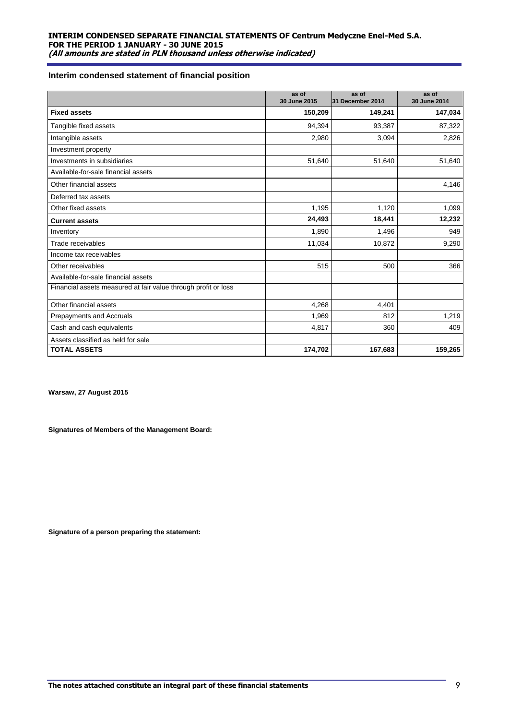## **Interim condensed statement of financial position**

|                                                                | as of<br>30 June 2015 | as of<br>31 December 2014 | as of<br>30 June 2014 |
|----------------------------------------------------------------|-----------------------|---------------------------|-----------------------|
| <b>Fixed assets</b>                                            | 150,209               | 149,241                   | 147,034               |
| Tangible fixed assets                                          | 94.394                | 93,387                    | 87,322                |
| Intangible assets                                              | 2,980                 | 3,094                     | 2,826                 |
| Investment property                                            |                       |                           |                       |
| Investments in subsidiaries                                    | 51,640                | 51,640                    | 51,640                |
| Available-for-sale financial assets                            |                       |                           |                       |
| Other financial assets                                         |                       |                           | 4,146                 |
| Deferred tax assets                                            |                       |                           |                       |
| Other fixed assets                                             | 1,195                 | 1,120                     | 1,099                 |
| <b>Current assets</b>                                          | 24,493                | 18,441                    | 12,232                |
| Inventory                                                      | 1,890                 | 1,496                     | 949                   |
| Trade receivables                                              | 11,034                | 10,872                    | 9,290                 |
| Income tax receivables                                         |                       |                           |                       |
| Other receivables                                              | 515                   | 500                       | 366                   |
| Available-for-sale financial assets                            |                       |                           |                       |
| Financial assets measured at fair value through profit or loss |                       |                           |                       |
| Other financial assets                                         | 4,268                 | 4,401                     |                       |
| Prepayments and Accruals                                       | 1,969                 | 812                       | 1,219                 |
| Cash and cash equivalents                                      | 4,817                 | 360                       | 409                   |
| Assets classified as held for sale                             |                       |                           |                       |
| <b>TOTAL ASSETS</b>                                            | 174,702               | 167,683                   | 159,265               |

**Warsaw, 27 August 2015**

**Signatures of Members of the Management Board:**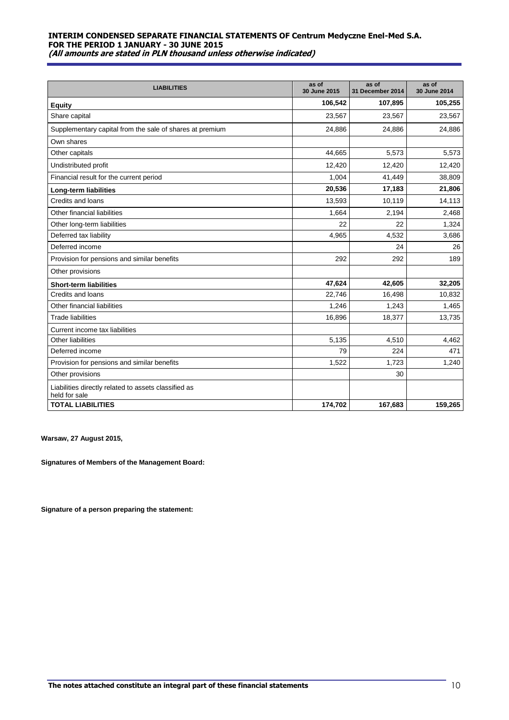| <b>LIABILITIES</b>                                                    | as of<br>30 June 2015 | as of<br>31 December 2014 | as of<br>30 June 2014 |
|-----------------------------------------------------------------------|-----------------------|---------------------------|-----------------------|
| <b>Equity</b>                                                         | 106,542               | 107,895                   | 105,255               |
| Share capital                                                         | 23,567                | 23,567                    | 23,567                |
| Supplementary capital from the sale of shares at premium              | 24,886                | 24,886                    | 24,886                |
| Own shares                                                            |                       |                           |                       |
| Other capitals                                                        | 44,665                | 5,573                     | 5,573                 |
| Undistributed profit                                                  | 12,420                | 12,420                    | 12,420                |
| Financial result for the current period                               | 1,004                 | 41,449                    | 38,809                |
| Long-term liabilities                                                 | 20,536                | 17,183                    | 21,806                |
| Credits and loans                                                     | 13,593                | 10,119                    | 14,113                |
| Other financial liabilities                                           | 1,664                 | 2,194                     | 2,468                 |
| Other long-term liabilities                                           | 22                    | 22                        | 1,324                 |
| Deferred tax liability                                                | 4,965                 | 4,532                     | 3,686                 |
| Deferred income                                                       |                       | 24                        | 26                    |
| Provision for pensions and similar benefits                           | 292                   | 292                       | 189                   |
| Other provisions                                                      |                       |                           |                       |
| <b>Short-term liabilities</b>                                         | 47,624                | 42,605                    | 32,205                |
| Credits and loans                                                     | 22,746                | 16,498                    | 10,832                |
| Other financial liabilities                                           | 1,246                 | 1,243                     | 1,465                 |
| <b>Trade liabilities</b>                                              | 16,896                | 18,377                    | 13,735                |
| Current income tax liabilities                                        |                       |                           |                       |
| <b>Other liabilities</b>                                              | 5,135                 | 4,510                     | 4,462                 |
| Deferred income                                                       | 79                    | 224                       | 471                   |
| Provision for pensions and similar benefits                           | 1,522                 | 1,723                     | 1,240                 |
| Other provisions                                                      |                       | 30                        |                       |
| Liabilities directly related to assets classified as<br>held for sale |                       |                           |                       |
| <b>TOTAL LIABILITIES</b>                                              | 174,702               | 167,683                   | 159,265               |

**Warsaw, 27 August 2015,** 

**Signatures of Members of the Management Board:**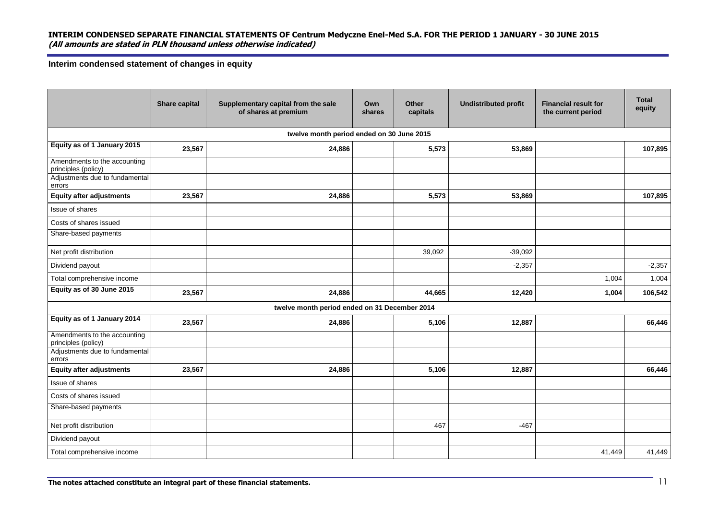**Interim condensed statement of changes in equity**

|                                                     | <b>Share capital</b> | Supplementary capital from the sale<br>of shares at premium | Own<br>shares | Other<br>capitals | <b>Undistributed profit</b> | <b>Financial result for</b><br>the current period | <b>Total</b><br>equity |
|-----------------------------------------------------|----------------------|-------------------------------------------------------------|---------------|-------------------|-----------------------------|---------------------------------------------------|------------------------|
|                                                     |                      | twelve month period ended on 30 June 2015                   |               |                   |                             |                                                   |                        |
| Equity as of 1 January 2015                         | 23,567               | 24,886                                                      |               | 5,573             | 53,869                      |                                                   | 107,895                |
| Amendments to the accounting<br>principles (policy) |                      |                                                             |               |                   |                             |                                                   |                        |
| Adjustments due to fundamental<br>errors            |                      |                                                             |               |                   |                             |                                                   |                        |
| <b>Equity after adjustments</b>                     | 23,567               | 24,886                                                      |               | 5,573             | 53,869                      |                                                   | 107,895                |
| Issue of shares                                     |                      |                                                             |               |                   |                             |                                                   |                        |
| Costs of shares issued                              |                      |                                                             |               |                   |                             |                                                   |                        |
| Share-based payments                                |                      |                                                             |               |                   |                             |                                                   |                        |
| Net profit distribution                             |                      |                                                             |               | 39,092            | $-39.092$                   |                                                   |                        |
| Dividend payout                                     |                      |                                                             |               |                   | $-2,357$                    |                                                   | $-2,357$               |
| Total comprehensive income                          |                      |                                                             |               |                   |                             | 1,004                                             | 1,004                  |
| Equity as of 30 June 2015                           | 23,567               | 24,886                                                      |               | 44,665            | 12,420                      | 1,004                                             | 106,542                |
|                                                     |                      | twelve month period ended on 31 December 2014               |               |                   |                             |                                                   |                        |
| Equity as of 1 January 2014                         | 23,567               | 24,886                                                      |               | 5,106             | 12,887                      |                                                   | 66,446                 |
| Amendments to the accounting<br>principles (policy) |                      |                                                             |               |                   |                             |                                                   |                        |
| Adjustments due to fundamental<br>errors            |                      |                                                             |               |                   |                             |                                                   |                        |
| <b>Equity after adjustments</b>                     | 23,567               | 24,886                                                      |               | 5,106             | 12,887                      |                                                   | 66,446                 |
| Issue of shares                                     |                      |                                                             |               |                   |                             |                                                   |                        |
| Costs of shares issued                              |                      |                                                             |               |                   |                             |                                                   |                        |
| Share-based payments                                |                      |                                                             |               |                   |                             |                                                   |                        |
| Net profit distribution                             |                      |                                                             |               | 467               | $-467$                      |                                                   |                        |
| Dividend payout                                     |                      |                                                             |               |                   |                             |                                                   |                        |
| Total comprehensive income                          |                      |                                                             |               |                   |                             | 41,449                                            | 41,449                 |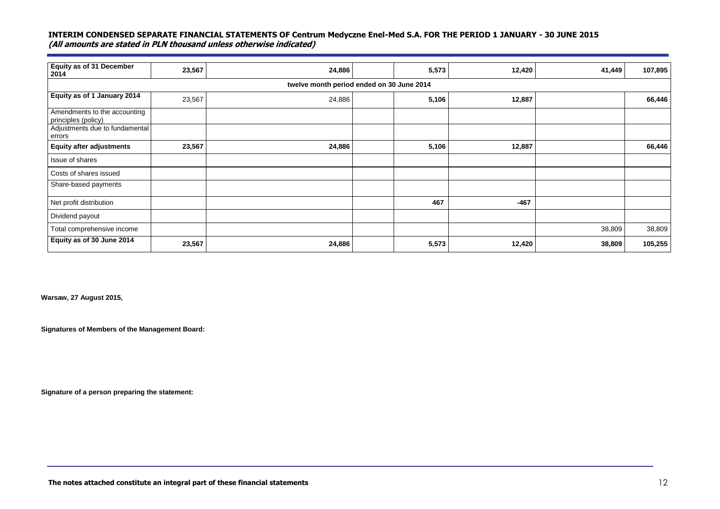| Equity as of 31 December<br>2014                    | 23,567 | 24,886                                    | 5,573 | 12,420 | 41,449 | 107,895 |
|-----------------------------------------------------|--------|-------------------------------------------|-------|--------|--------|---------|
|                                                     |        | twelve month period ended on 30 June 2014 |       |        |        |         |
| Equity as of 1 January 2014                         | 23,567 | 24,886                                    | 5,106 | 12,887 |        | 66,446  |
| Amendments to the accounting<br>principles (policy) |        |                                           |       |        |        |         |
| Adjustments due to fundamental<br>errors            |        |                                           |       |        |        |         |
| <b>Equity after adjustments</b>                     | 23,567 | 24,886                                    | 5,106 | 12,887 |        | 66,446  |
| Issue of shares                                     |        |                                           |       |        |        |         |
| Costs of shares issued                              |        |                                           |       |        |        |         |
| Share-based payments                                |        |                                           |       |        |        |         |
| Net profit distribution                             |        |                                           | 467   | $-467$ |        |         |
| Dividend payout                                     |        |                                           |       |        |        |         |
| Total comprehensive income                          |        |                                           |       |        | 38,809 | 38,809  |
| Equity as of 30 June 2014                           | 23,567 | 24,886                                    | 5,573 | 12,420 | 38,809 | 105,255 |

**Warsaw, 27 August 2015,** 

**Signatures of Members of the Management Board:**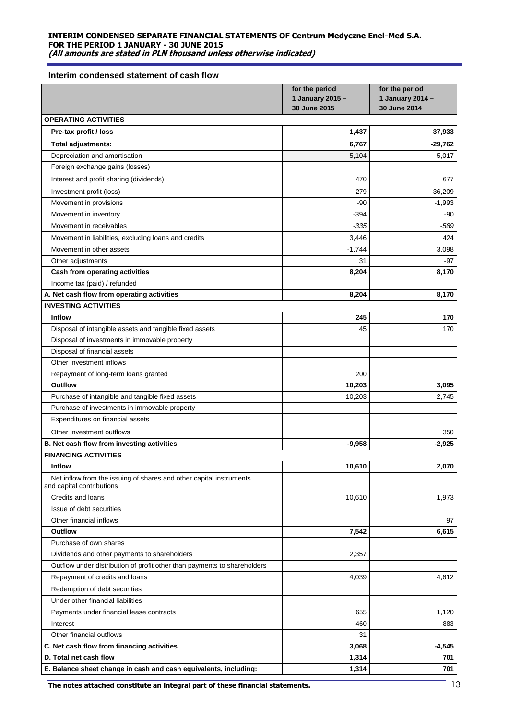#### **Interim condensed statement of cash flow**

|                                                                                                  | for the period<br>1 January 2015 -<br>30 June 2015 | for the period<br>1 January 2014 -<br>30 June 2014 |
|--------------------------------------------------------------------------------------------------|----------------------------------------------------|----------------------------------------------------|
| <b>OPERATING ACTIVITIES</b>                                                                      |                                                    |                                                    |
| Pre-tax profit / loss                                                                            | 1,437                                              | 37,933                                             |
| Total adjustments:                                                                               | 6,767                                              | $-29,762$                                          |
| Depreciation and amortisation                                                                    | 5,104                                              | 5,017                                              |
| Foreign exchange gains (losses)                                                                  |                                                    |                                                    |
| Interest and profit sharing (dividends)                                                          | 470                                                | 677                                                |
| Investment profit (loss)                                                                         | 279                                                | $-36,209$                                          |
| Movement in provisions                                                                           | $-90$                                              | $-1,993$                                           |
| Movement in inventory                                                                            | $-394$                                             | -90                                                |
| Movement in receivables                                                                          | $-335$                                             | -589                                               |
| Movement in liabilities, excluding loans and credits                                             | 3,446                                              | 424                                                |
| Movement in other assets                                                                         | $-1,744$                                           | 3,098                                              |
| Other adjustments                                                                                | 31                                                 | -97                                                |
| Cash from operating activities                                                                   | 8,204                                              | 8,170                                              |
| Income tax (paid) / refunded                                                                     |                                                    |                                                    |
| A. Net cash flow from operating activities                                                       | 8,204                                              | 8,170                                              |
| <b>INVESTING ACTIVITIES</b>                                                                      |                                                    |                                                    |
| <b>Inflow</b>                                                                                    | 245                                                | 170                                                |
| Disposal of intangible assets and tangible fixed assets                                          | 45                                                 | 170                                                |
| Disposal of investments in immovable property                                                    |                                                    |                                                    |
| Disposal of financial assets                                                                     |                                                    |                                                    |
| Other investment inflows                                                                         |                                                    |                                                    |
| Repayment of long-term loans granted                                                             | 200                                                |                                                    |
| Outflow                                                                                          | 10,203                                             | 3,095                                              |
| Purchase of intangible and tangible fixed assets                                                 | 10,203                                             | 2,745                                              |
| Purchase of investments in immovable property                                                    |                                                    |                                                    |
| Expenditures on financial assets                                                                 |                                                    |                                                    |
| Other investment outflows                                                                        |                                                    | 350                                                |
| B. Net cash flow from investing activities                                                       | $-9,958$                                           | $-2,925$                                           |
| <b>FINANCING ACTIVITIES</b>                                                                      |                                                    |                                                    |
| <b>Inflow</b>                                                                                    | 10,610                                             | 2,070                                              |
| Net inflow from the issuing of shares and other capital instruments<br>and capital contributions |                                                    |                                                    |
| Credits and loans                                                                                | 10,610                                             | 1,973                                              |
| Issue of debt securities                                                                         |                                                    |                                                    |
| Other financial inflows                                                                          |                                                    | 97                                                 |
| <b>Outflow</b>                                                                                   | 7,542                                              | 6,615                                              |
| Purchase of own shares                                                                           |                                                    |                                                    |
| Dividends and other payments to shareholders                                                     | 2,357                                              |                                                    |
| Outflow under distribution of profit other than payments to shareholders                         |                                                    |                                                    |
| Repayment of credits and loans                                                                   | 4,039                                              | 4,612                                              |
| Redemption of debt securities                                                                    |                                                    |                                                    |
| Under other financial liabilities                                                                |                                                    |                                                    |
| Payments under financial lease contracts                                                         | 655                                                | 1,120                                              |
| Interest                                                                                         | 460                                                | 883                                                |
| Other financial outflows                                                                         | 31                                                 |                                                    |
| C. Net cash flow from financing activities                                                       | 3,068                                              | -4,545                                             |
| D. Total net cash flow                                                                           | 1,314                                              | 701                                                |
| E. Balance sheet change in cash and cash equivalents, including:                                 | 1,314                                              | 701                                                |

The notes attached constitute an integral part of these financial statements. **The notes attached constitute an integral part of these financial statements.** 13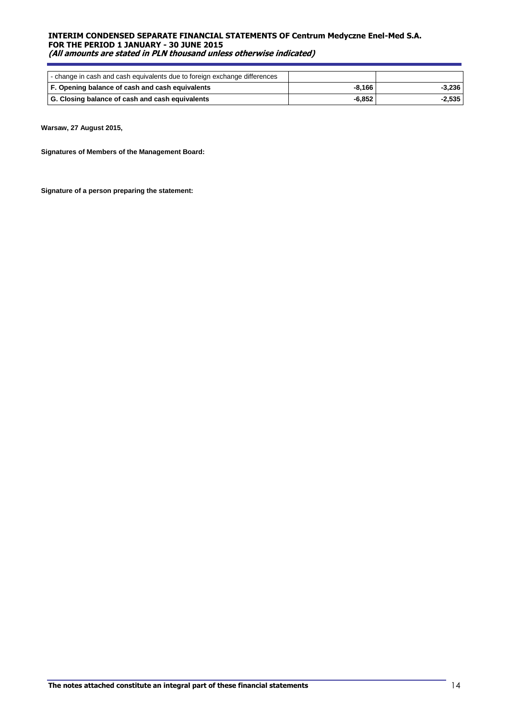| - change in cash and cash equivalents due to foreign exchange differences |          |          |
|---------------------------------------------------------------------------|----------|----------|
| F. Opening balance of cash and cash equivalents                           | -8.166   | -3.236   |
| G. Closing balance of cash and cash equivalents                           | $-6.852$ | $-2.535$ |

**Warsaw, 27 August 2015,** 

**Signatures of Members of the Management Board:**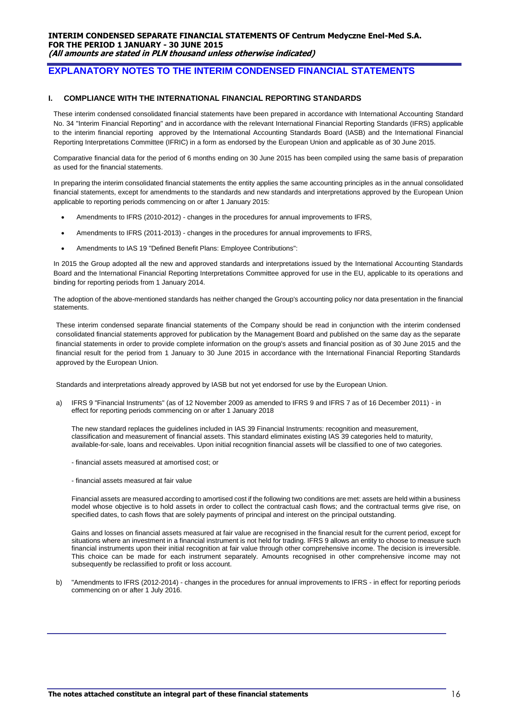## **EXPLANATORY NOTES TO THE INTERIM CONDENSED FINANCIAL STATEMENTS**

#### **I. COMPLIANCE WITH THE INTERNATIONAL FINANCIAL REPORTING STANDARDS**

These interim condensed consolidated financial statements have been prepared in accordance with International Accounting Standard No. 34 "Interim Financial Reporting" and in accordance with the relevant International Financial Reporting Standards (IFRS) applicable to the interim financial reporting approved by the International Accounting Standards Board (IASB) and the International Financial Reporting Interpretations Committee (IFRIC) in a form as endorsed by the European Union and applicable as of 30 June 2015.

Comparative financial data for the period of 6 months ending on 30 June 2015 has been compiled using the same basis of preparation as used for the financial statements.

In preparing the interim consolidated financial statements the entity applies the same accounting principles as in the annual consolidated financial statements, except for amendments to the standards and new standards and interpretations approved by the European Union applicable to reporting periods commencing on or after 1 January 2015:

- Amendments to IFRS (2010-2012) changes in the procedures for annual improvements to IFRS,
- Amendments to IFRS (2011-2013) changes in the procedures for annual improvements to IFRS,
- Amendments to IAS 19 "Defined Benefit Plans: Employee Contributions":

In 2015 the Group adopted all the new and approved standards and interpretations issued by the International Accounting Standards Board and the International Financial Reporting Interpretations Committee approved for use in the EU, applicable to its operations and binding for reporting periods from 1 January 2014.

The adoption of the above-mentioned standards has neither changed the Group's accounting policy nor data presentation in the financial statements.

These interim condensed separate financial statements of the Company should be read in conjunction with the interim condensed consolidated financial statements approved for publication by the Management Board and published on the same day as the separate financial statements in order to provide complete information on the group's assets and financial position as of 30 June 2015 and the financial result for the period from 1 January to 30 June 2015 in accordance with the International Financial Reporting Standards approved by the European Union.

Standards and interpretations already approved by IASB but not yet endorsed for use by the European Union.

a) IFRS 9 "Financial Instruments" (as of 12 November 2009 as amended to IFRS 9 and IFRS 7 as of 16 December 2011) - in effect for reporting periods commencing on or after 1 January 2018

The new standard replaces the guidelines included in IAS 39 Financial Instruments: recognition and measurement, classification and measurement of financial assets. This standard eliminates existing IAS 39 categories held to maturity, available-for-sale, loans and receivables. Upon initial recognition financial assets will be classified to one of two categories.

- financial assets measured at amortised cost; or
- financial assets measured at fair value

Financial assets are measured according to amortised cost if the following two conditions are met: assets are held within a business model whose objective is to hold assets in order to collect the contractual cash flows; and the contractual terms give rise, on specified dates, to cash flows that are solely payments of principal and interest on the principal outstanding.

Gains and losses on financial assets measured at fair value are recognised in the financial result for the current period, except for situations where an investment in a financial instrument is not held for trading. IFRS 9 allows an entity to choose to measure such financial instruments upon their initial recognition at fair value through other comprehensive income. The decision is irreversible. This choice can be made for each instrument separately. Amounts recognised in other comprehensive income may not subsequently be reclassified to profit or loss account.

b) "Amendments to IFRS (2012-2014) - changes in the procedures for annual improvements to IFRS - in effect for reporting periods commencing on or after 1 July 2016.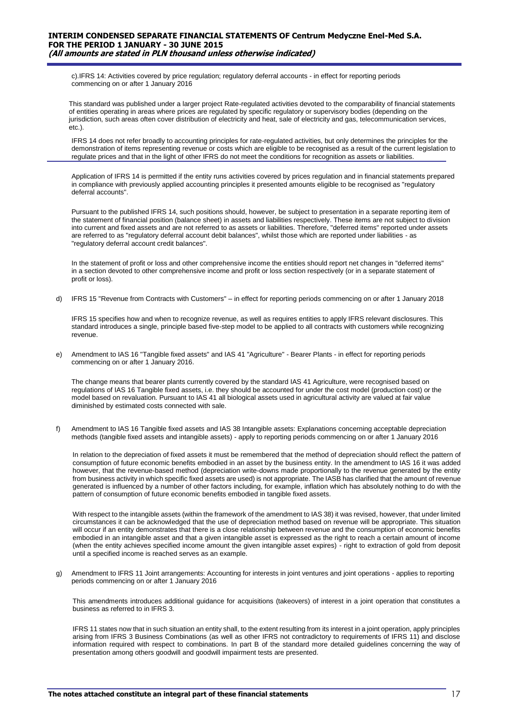c).IFRS 14: Activities covered by price regulation; regulatory deferral accounts - in effect for reporting periods commencing on or after 1 January 2016

This standard was published under a larger project Rate-regulated activities devoted to the comparability of financial statements of entities operating in areas where prices are regulated by specific regulatory or supervisory bodies (depending on the jurisdiction, such areas often cover distribution of electricity and heat, sale of electricity and gas, telecommunication services, etc.).

IFRS 14 does not refer broadly to accounting principles for rate-regulated activities, but only determines the principles for the demonstration of items representing revenue or costs which are eligible to be recognised as a result of the current legislation to regulate prices and that in the light of other IFRS do not meet the conditions for recognition as assets or liabilities.

Application of IFRS 14 is permitted if the entity runs activities covered by prices regulation and in financial statements prepared in compliance with previously applied accounting principles it presented amounts eligible to be recognised as "regulatory deferral accounts".

Pursuant to the published IFRS 14, such positions should, however, be subject to presentation in a separate reporting item of the statement of financial position (balance sheet) in assets and liabilities respectively. These items are not subject to division into current and fixed assets and are not referred to as assets or liabilities. Therefore, "deferred items" reported under assets are referred to as "regulatory deferral account debit balances", whilst those which are reported under liabilities - as "regulatory deferral account credit balances".

In the statement of profit or loss and other comprehensive income the entities should report net changes in "deferred items" in a section devoted to other comprehensive income and profit or loss section respectively (or in a separate statement of profit or loss).

d) IFRS 15 "Revenue from Contracts with Customers" – in effect for reporting periods commencing on or after 1 January 2018

IFRS 15 specifies how and when to recognize revenue, as well as requires entities to apply IFRS relevant disclosures. This standard introduces a single, principle based five-step model to be applied to all contracts with customers while recognizing revenue.

e) Amendment to IAS 16 "Tangible fixed assets" and IAS 41 "Agriculture" - Bearer Plants - in effect for reporting periods commencing on or after 1 January 2016.

The change means that bearer plants currently covered by the standard IAS 41 Agriculture, were recognised based on regulations of IAS 16 Tangible fixed assets, i.e. they should be accounted for under the cost model (production cost) or the model based on revaluation. Pursuant to IAS 41 all biological assets used in agricultural activity are valued at fair value diminished by estimated costs connected with sale.

f) Amendment to IAS 16 Tangible fixed assets and IAS 38 Intangible assets: Explanations concerning acceptable depreciation methods (tangible fixed assets and intangible assets) - apply to reporting periods commencing on or after 1 January 2016

In relation to the depreciation of fixed assets it must be remembered that the method of depreciation should reflect the pattern of consumption of future economic benefits embodied in an asset by the business entity. In the amendment to IAS 16 it was added however, that the revenue-based method (depreciation write-downs made proportionally to the revenue generated by the entity from business activity in which specific fixed assets are used) is not appropriate. The IASB has clarified that the amount of revenue generated is influenced by a number of other factors including, for example, inflation which has absolutely nothing to do with the pattern of consumption of future economic benefits embodied in tangible fixed assets.

With respect to the intangible assets (within the framework of the amendment to IAS 38) it was revised, however, that under limited circumstances it can be acknowledged that the use of depreciation method based on revenue will be appropriate. This situation will occur if an entity demonstrates that there is a close relationship between revenue and the consumption of economic benefits embodied in an intangible asset and that a given intangible asset is expressed as the right to reach a certain amount of income (when the entity achieves specified income amount the given intangible asset expires) - right to extraction of gold from deposit until a specified income is reached serves as an example.

g) Amendment to IFRS 11 Joint arrangements: Accounting for interests in joint ventures and joint operations - applies to reporting periods commencing on or after 1 January 2016

This amendments introduces additional guidance for acquisitions (takeovers) of interest in a joint operation that constitutes a business as referred to in IFRS 3.

IFRS 11 states now that in such situation an entity shall, to the extent resulting from its interest in a joint operation, apply principles arising from IFRS 3 Business Combinations (as well as other IFRS not contradictory to requirements of IFRS 11) and disclose information required with respect to combinations. In part B of the standard more detailed guidelines concerning the way of presentation among others goodwill and goodwill impairment tests are presented.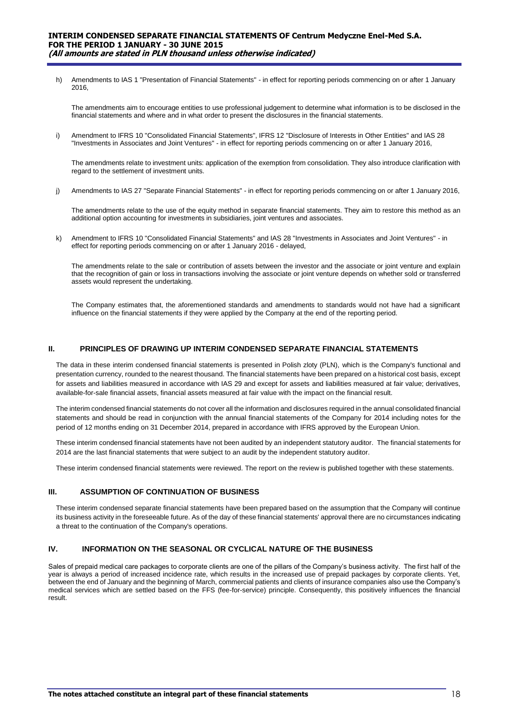h) Amendments to IAS 1 "Presentation of Financial Statements" - in effect for reporting periods commencing on or after 1 January 2016,

The amendments aim to encourage entities to use professional judgement to determine what information is to be disclosed in the financial statements and where and in what order to present the disclosures in the financial statements.

i) Amendment to IFRS 10 "Consolidated Financial Statements", IFRS 12 "Disclosure of Interests in Other Entities" and IAS 28 "Investments in Associates and Joint Ventures" - in effect for reporting periods commencing on or after 1 January 2016,

The amendments relate to investment units: application of the exemption from consolidation. They also introduce clarification with regard to the settlement of investment units.

j) Amendments to IAS 27 "Separate Financial Statements" - in effect for reporting periods commencing on or after 1 January 2016,

The amendments relate to the use of the equity method in separate financial statements. They aim to restore this method as an additional option accounting for investments in subsidiaries, joint ventures and associates.

k) Amendment to IFRS 10 "Consolidated Financial Statements" and IAS 28 "Investments in Associates and Joint Ventures" - in effect for reporting periods commencing on or after 1 January 2016 - delayed,

The amendments relate to the sale or contribution of assets between the investor and the associate or joint venture and explain that the recognition of gain or loss in transactions involving the associate or joint venture depends on whether sold or transferred assets would represent the undertaking.

The Company estimates that, the aforementioned standards and amendments to standards would not have had a significant influence on the financial statements if they were applied by the Company at the end of the reporting period.

#### **II. PRINCIPLES OF DRAWING UP INTERIM CONDENSED SEPARATE FINANCIAL STATEMENTS**

The data in these interim condensed financial statements is presented in Polish zloty (PLN), which is the Company's functional and presentation currency, rounded to the nearest thousand. The financial statements have been prepared on a historical cost basis, except for assets and liabilities measured in accordance with IAS 29 and except for assets and liabilities measured at fair value; derivatives, available-for-sale financial assets, financial assets measured at fair value with the impact on the financial result.

The interim condensed financial statements do not cover all the information and disclosures required in the annual consolidated financial statements and should be read in conjunction with the annual financial statements of the Company for 2014 including notes for the period of 12 months ending on 31 December 2014, prepared in accordance with IFRS approved by the European Union.

These interim condensed financial statements have not been audited by an independent statutory auditor. The financial statements for 2014 are the last financial statements that were subject to an audit by the independent statutory auditor.

These interim condensed financial statements were reviewed. The report on the review is published together with these statements.

## **III. ASSUMPTION OF CONTINUATION OF BUSINESS**

These interim condensed separate financial statements have been prepared based on the assumption that the Company will continue its business activity in the foreseeable future. As of the day of these financial statements' approval there are no circumstances indicating a threat to the continuation of the Company's operations.

#### **IV. INFORMATION ON THE SEASONAL OR CYCLICAL NATURE OF THE BUSINESS**

Sales of prepaid medical care packages to corporate clients are one of the pillars of the Company's business activity. The first half of the year is always a period of increased incidence rate, which results in the increased use of prepaid packages by corporate clients. Yet, between the end of January and the beginning of March, commercial patients and clients of insurance companies also use the Company's medical services which are settled based on the FFS (fee-for-service) principle. Consequently, this positively influences the financial result.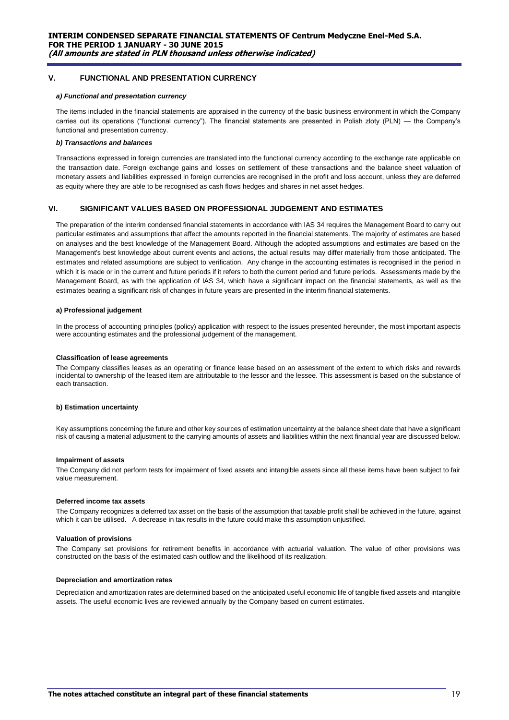#### **V. FUNCTIONAL AND PRESENTATION CURRENCY**

#### *a) Functional and presentation currency*

The items included in the financial statements are appraised in the currency of the basic business environment in which the Company carries out its operations ("functional currency"). The financial statements are presented in Polish zloty (PLN) — the Company's functional and presentation currency.

#### *b) Transactions and balances*

Transactions expressed in foreign currencies are translated into the functional currency according to the exchange rate applicable on the transaction date. Foreign exchange gains and losses on settlement of these transactions and the balance sheet valuation of monetary assets and liabilities expressed in foreign currencies are recognised in the profit and loss account, unless they are deferred as equity where they are able to be recognised as cash flows hedges and shares in net asset hedges.

## **VI. SIGNIFICANT VALUES BASED ON PROFESSIONAL JUDGEMENT AND ESTIMATES**

The preparation of the interim condensed financial statements in accordance with IAS 34 requires the Management Board to carry out particular estimates and assumptions that affect the amounts reported in the financial statements. The majority of estimates are based on analyses and the best knowledge of the Management Board. Although the adopted assumptions and estimates are based on the Management's best knowledge about current events and actions, the actual results may differ materially from those anticipated. The estimates and related assumptions are subject to verification. Any change in the accounting estimates is recognised in the period in which it is made or in the current and future periods if it refers to both the current period and future periods. Assessments made by the Management Board, as with the application of IAS 34, which have a significant impact on the financial statements, as well as the estimates bearing a significant risk of changes in future years are presented in the interim financial statements.

#### **a) Professional judgement**

In the process of accounting principles (policy) application with respect to the issues presented hereunder, the most important aspects were accounting estimates and the professional judgement of the management.

#### **Classification of lease agreements**

The Company classifies leases as an operating or finance lease based on an assessment of the extent to which risks and rewards incidental to ownership of the leased item are attributable to the lessor and the lessee. This assessment is based on the substance of each transaction.

#### **b) Estimation uncertainty**

Key assumptions concerning the future and other key sources of estimation uncertainty at the balance sheet date that have a significant risk of causing a material adjustment to the carrying amounts of assets and liabilities within the next financial year are discussed below.

#### **Impairment of assets**

The Company did not perform tests for impairment of fixed assets and intangible assets since all these items have been subject to fair value measurement.

#### **Deferred income tax assets**

The Company recognizes a deferred tax asset on the basis of the assumption that taxable profit shall be achieved in the future, against which it can be utilised. A decrease in tax results in the future could make this assumption unjustified.

#### **Valuation of provisions**

The Company set provisions for retirement benefits in accordance with actuarial valuation. The value of other provisions was constructed on the basis of the estimated cash outflow and the likelihood of its realization.

#### **Depreciation and amortization rates**

Depreciation and amortization rates are determined based on the anticipated useful economic life of tangible fixed assets and intangible assets. The useful economic lives are reviewed annually by the Company based on current estimates.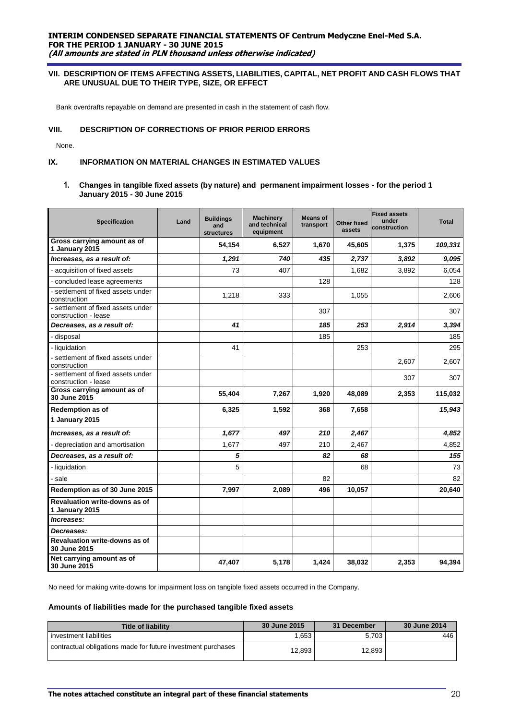#### **VII. DESCRIPTION OF ITEMS AFFECTING ASSETS, LIABILITIES, CAPITAL, NET PROFIT AND CASH FLOWS THAT ARE UNUSUAL DUE TO THEIR TYPE, SIZE, OR EFFECT**

Bank overdrafts repayable on demand are presented in cash in the statement of cash flow.

#### **VIII. DESCRIPTION OF CORRECTIONS OF PRIOR PERIOD ERRORS**

None.

## **IX. INFORMATION ON MATERIAL CHANGES IN ESTIMATED VALUES**

#### **1. Changes in tangible fixed assets (by nature) and permanent impairment losses - for the period 1 January 2015 - 30 June 2015**

| <b>Specification</b>                                       | Land | <b>Buildings</b><br>and<br><b>structures</b> | <b>Machinery</b><br>and technical<br>equipment | <b>Means of</b><br>transport | Other fixed<br>assets | <b>Fixed assets</b><br>under<br>construction | <b>Total</b> |
|------------------------------------------------------------|------|----------------------------------------------|------------------------------------------------|------------------------------|-----------------------|----------------------------------------------|--------------|
| Gross carrying amount as of<br>1 January 2015              |      | 54,154                                       | 6,527                                          | 1,670                        | 45,605                | 1,375                                        | 109,331      |
| Increases, as a result of:                                 |      | 1,291                                        | 740                                            | 435                          | 2,737                 | 3,892                                        | 9,095        |
| - acquisition of fixed assets                              |      | 73                                           | 407                                            |                              | 1,682                 | 3,892                                        | 6,054        |
| - concluded lease agreements                               |      |                                              |                                                | 128                          |                       |                                              | 128          |
| - settlement of fixed assets under<br>construction         |      | 1,218                                        | 333                                            |                              | 1,055                 |                                              | 2,606        |
| - settlement of fixed assets under<br>construction - lease |      |                                              |                                                | 307                          |                       |                                              | 307          |
| Decreases, as a result of:                                 |      | 41                                           |                                                | 185                          | 253                   | 2,914                                        | 3,394        |
| - disposal                                                 |      |                                              |                                                | 185                          |                       |                                              | 185          |
| - liquidation                                              |      | 41                                           |                                                |                              | 253                   |                                              | 295          |
| - settlement of fixed assets under<br>construction         |      |                                              |                                                |                              |                       | 2,607                                        | 2,607        |
| - settlement of fixed assets under<br>construction - lease |      |                                              |                                                |                              |                       | 307                                          | 307          |
| Gross carrying amount as of<br>30 June 2015                |      | 55,404                                       | 7,267                                          | 1,920                        | 48,089                | 2,353                                        | 115,032      |
| Redemption as of                                           |      | 6,325                                        | 1,592                                          | 368                          | 7,658                 |                                              | 15,943       |
| 1 January 2015                                             |      |                                              |                                                |                              |                       |                                              |              |
| Increases, as a result of:                                 |      | 1,677                                        | 497                                            | 210                          | 2,467                 |                                              | 4,852        |
| - depreciation and amortisation                            |      | 1,677                                        | 497                                            | 210                          | 2,467                 |                                              | 4,852        |
| Decreases, as a result of:                                 |      | 5                                            |                                                | 82                           | 68                    |                                              | 155          |
| - liquidation                                              |      | 5                                            |                                                |                              | 68                    |                                              | 73           |
| - sale                                                     |      |                                              |                                                | 82                           |                       |                                              | 82           |
| Redemption as of 30 June 2015                              |      | 7,997                                        | 2,089                                          | 496                          | 10,057                |                                              | 20,640       |
| <b>Revaluation write-downs as of</b><br>1 January 2015     |      |                                              |                                                |                              |                       |                                              |              |
| Increases:                                                 |      |                                              |                                                |                              |                       |                                              |              |
| Decreases:                                                 |      |                                              |                                                |                              |                       |                                              |              |
| Revaluation write-downs as of<br>30 June 2015              |      |                                              |                                                |                              |                       |                                              |              |
| Net carrying amount as of<br>30 June 2015                  |      | 47,407                                       | 5,178                                          | 1,424                        | 38,032                | 2,353                                        | 94,394       |

No need for making write-downs for impairment loss on tangible fixed assets occurred in the Company.

#### **Amounts of liabilities made for the purchased tangible fixed assets**

| <b>Title of liability</b>                                    | 30 June 2015 | 31 December | 30 June 2014 |
|--------------------------------------------------------------|--------------|-------------|--------------|
| investment liabilities                                       | 1.653        | 5.703       | 446          |
| contractual obligations made for future investment purchases | 12.893       | 12.893      |              |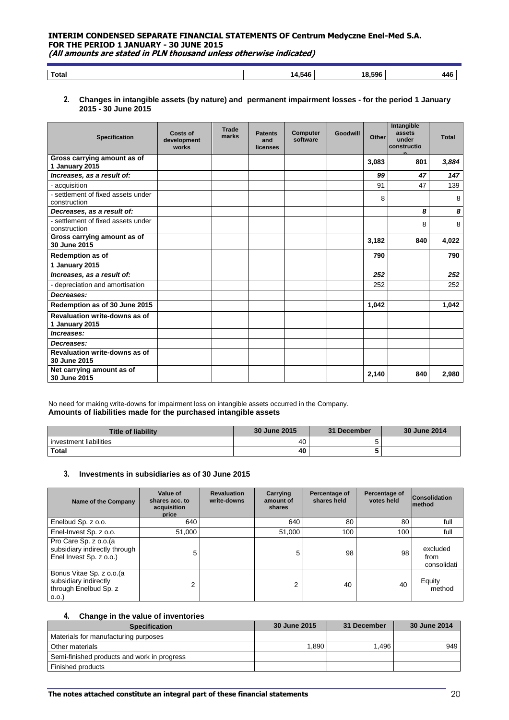**Total 14,546 18,596 446**

#### **2. Changes in intangible assets (by nature) and permanent impairment losses - for the period 1 January 2015 - 30 June 2015**

| <b>Specification</b>                                   | Costs of<br>development<br>works | <b>Trade</b><br>marks | <b>Patents</b><br>and<br>licenses | <b>Computer</b><br>software | <b>Goodwill</b> | Other | Intangible<br>assets<br>under<br>constructio | <b>Total</b> |
|--------------------------------------------------------|----------------------------------|-----------------------|-----------------------------------|-----------------------------|-----------------|-------|----------------------------------------------|--------------|
| Gross carrying amount as of<br>1 January 2015          |                                  |                       |                                   |                             |                 | 3,083 | 801                                          | 3,884        |
| Increases, as a result of:                             |                                  |                       |                                   |                             |                 | 99    | 47                                           | 147          |
| - acquisition                                          |                                  |                       |                                   |                             |                 | 91    | 47                                           | 139          |
| - settlement of fixed assets under<br>construction     |                                  |                       |                                   |                             |                 | 8     |                                              | 8            |
| Decreases, as a result of:                             |                                  |                       |                                   |                             |                 |       | 8                                            | 8            |
| - settlement of fixed assets under<br>construction     |                                  |                       |                                   |                             |                 |       | 8                                            | 8            |
| Gross carrying amount as of<br>30 June 2015            |                                  |                       |                                   |                             |                 | 3,182 | 840                                          | 4,022        |
| <b>Redemption as of</b>                                |                                  |                       |                                   |                             |                 | 790   |                                              | 790          |
| 1 January 2015                                         |                                  |                       |                                   |                             |                 |       |                                              |              |
| Increases, as a result of:                             |                                  |                       |                                   |                             |                 | 252   |                                              | 252          |
| - depreciation and amortisation                        |                                  |                       |                                   |                             |                 | 252   |                                              | 252          |
| Decreases:                                             |                                  |                       |                                   |                             |                 |       |                                              |              |
| Redemption as of 30 June 2015                          |                                  |                       |                                   |                             |                 | 1,042 |                                              | 1,042        |
| <b>Revaluation write-downs as of</b><br>1 January 2015 |                                  |                       |                                   |                             |                 |       |                                              |              |
| Increases:                                             |                                  |                       |                                   |                             |                 |       |                                              |              |
| Decreases:                                             |                                  |                       |                                   |                             |                 |       |                                              |              |
| <b>Revaluation write-downs as of</b><br>30 June 2015   |                                  |                       |                                   |                             |                 |       |                                              |              |
| Net carrying amount as of<br>30 June 2015              |                                  |                       |                                   |                             |                 | 2,140 | 840                                          | 2,980        |

No need for making write-downs for impairment loss on intangible assets occurred in the Company. **Amounts of liabilities made for the purchased intangible assets**

| <b>Title of liability</b> | 30 June 2015 | 31 December | 30 June 2014 |
|---------------------------|--------------|-------------|--------------|
| l investment liabilities  | 40           |             |              |
| <b>Total</b>              | 40           |             |              |

## **3. Investments in subsidiaries as of 30 June 2015**

| Name of the Company                                                                 | Value of<br>shares acc. to<br>acquisition<br>price | <b>Revaluation</b><br>write-downs | Carrying<br>amount of<br>shares | Percentage of<br>shares held | Percentage of<br>votes held | <b>Consolidation</b><br><b>Imethod</b> |
|-------------------------------------------------------------------------------------|----------------------------------------------------|-----------------------------------|---------------------------------|------------------------------|-----------------------------|----------------------------------------|
| Enelbud Sp. z o.o.                                                                  | 640                                                |                                   | 640                             | 80                           | 80                          | full                                   |
| Enel-Invest Sp. z o.o.                                                              | 51,000                                             |                                   | 51,000                          | 100                          | 100                         | full                                   |
| Pro Care Sp. z o.o.(a<br>subsidiary indirectly through<br>Enel Invest Sp. z o.o.)   | 5                                                  |                                   | 5                               | 98                           | 98                          | excluded<br>from<br>consolidati        |
| Bonus Vitae Sp. z o.o. (a<br>subsidiary indirectly<br>through Enelbud Sp. z<br>0.0. | $\overline{2}$                                     |                                   | っ                               | 40                           | 40                          | Equity<br>method                       |

#### **4. Change in the value of inventories**

| <b>Specification</b>                        | 30 June 2015 | 31 December | 30 June 2014 |
|---------------------------------------------|--------------|-------------|--------------|
| Materials for manufacturing purposes        |              |             |              |
| Other materials                             | 1.890        | 1.496       | 949          |
| Semi-finished products and work in progress |              |             |              |
| Finished products                           |              |             |              |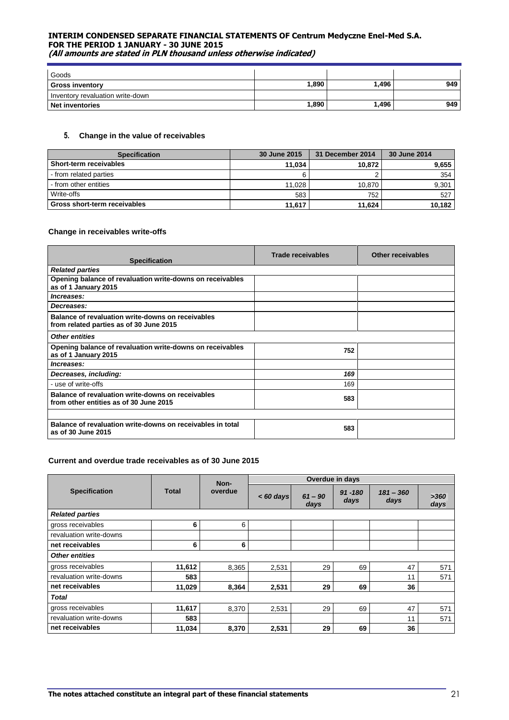| Goods                            |       |       |     |
|----------------------------------|-------|-------|-----|
| <b>Gross inventory</b>           | 1.890 | 1.496 | 949 |
| Inventory revaluation write-down |       |       |     |
| <b>Net inventories</b>           | 1.890 | 1.496 | 949 |

## **5. Change in the value of receivables**

| <b>Specification</b>          | 30 June 2015 | 31 December 2014 | 30 June 2014 |
|-------------------------------|--------------|------------------|--------------|
| <b>Short-term receivables</b> | 11.034       | 10.872           | 9,655        |
| - from related parties        |              |                  | 354          |
| I - from other entities       | 11.028       | 10.870           | 9,301        |
| Write-offs                    | 583          | 752              | 527          |
| Gross short-term receivables  | 11,617       | 11,624           | 10.182       |

## **Change in receivables write-offs**

| <b>Specification</b>                                                                         | Trade receivables | <b>Other receivables</b> |
|----------------------------------------------------------------------------------------------|-------------------|--------------------------|
| <b>Related parties</b>                                                                       |                   |                          |
| Opening balance of revaluation write-downs on receivables<br>as of 1 January 2015            |                   |                          |
| Increases:                                                                                   |                   |                          |
| Decreases:                                                                                   |                   |                          |
| Balance of revaluation write-downs on receivables<br>from related parties as of 30 June 2015 |                   |                          |
| <b>Other entities</b>                                                                        |                   |                          |
| Opening balance of revaluation write-downs on receivables<br>as of 1 January 2015            | 752               |                          |
| Increases:                                                                                   |                   |                          |
| Decreases, including:                                                                        | 169               |                          |
| - use of write-offs                                                                          | 169               |                          |
| Balance of revaluation write-downs on receivables<br>from other entities as of 30 June 2015  | 583               |                          |
|                                                                                              |                   |                          |
| Balance of revaluation write-downs on receivables in total<br>as of 30 June 2015             | 583               |                          |

#### **Current and overdue trade receivables as of 30 June 2015**

|                                      |         | Non-        |                   |                    | Overdue in days     |              |     |  |
|--------------------------------------|---------|-------------|-------------------|--------------------|---------------------|--------------|-----|--|
| <b>Total</b><br><b>Specification</b> | overdue | $< 60$ days | $61 - 90$<br>days | $91 - 180$<br>days | $181 - 360$<br>days | >360<br>days |     |  |
| <b>Related parties</b>               |         |             |                   |                    |                     |              |     |  |
| gross receivables                    | 6       | 6           |                   |                    |                     |              |     |  |
| revaluation write-downs              |         |             |                   |                    |                     |              |     |  |
| net receivables                      | 6       | 6           |                   |                    |                     |              |     |  |
| <b>Other entities</b>                |         |             |                   |                    |                     |              |     |  |
| gross receivables                    | 11,612  | 8,365       | 2,531             | 29                 | 69                  | 47           | 571 |  |
| revaluation write-downs              | 583     |             |                   |                    |                     | 11           | 571 |  |
| net receivables                      | 11,029  | 8,364       | 2,531             | 29                 | 69                  | 36           |     |  |
| <b>Total</b>                         |         |             |                   |                    |                     |              |     |  |
| gross receivables                    | 11,617  | 8,370       | 2,531             | 29                 | 69                  | 47           | 571 |  |
| revaluation write-downs              | 583     |             |                   |                    |                     | 11           | 571 |  |
| net receivables                      | 11.034  | 8,370       | 2,531             | 29                 | 69                  | 36           |     |  |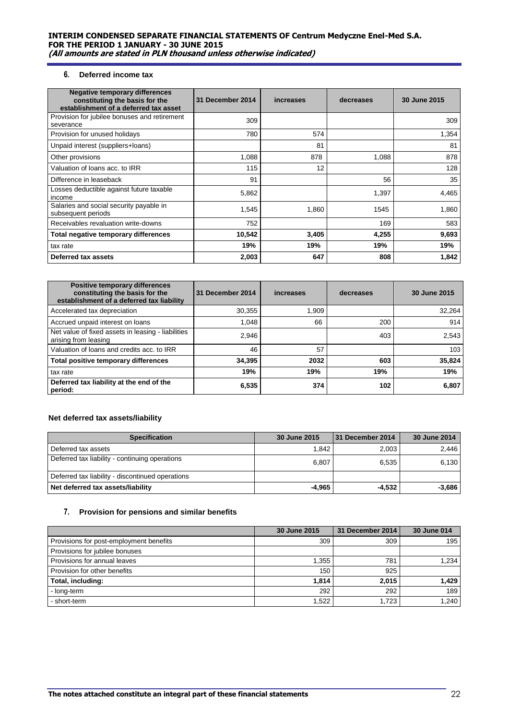## **6. Deferred income tax**

| <b>Negative temporary differences</b><br>constituting the basis for the<br>establishment of a deferred tax asset | 31 December 2014 | increases | decreases | 30 June 2015 |
|------------------------------------------------------------------------------------------------------------------|------------------|-----------|-----------|--------------|
| Provision for jubilee bonuses and retirement<br>severance                                                        | 309              |           |           | 309          |
| Provision for unused holidays                                                                                    | 780              | 574       |           | 1,354        |
| Unpaid interest (suppliers+loans)                                                                                |                  | 81        |           | 81           |
| Other provisions                                                                                                 | 1,088            | 878       | 1,088     | 878          |
| Valuation of loans acc. to IRR                                                                                   | 115              | 12        |           | 128          |
| Difference in leaseback                                                                                          | 91               |           | 56        | 35           |
| Losses deductible against future taxable<br>income                                                               | 5,862            |           | 1,397     | 4,465        |
| Salaries and social security payable in<br>subsequent periods                                                    | 1,545            | 1,860     | 1545      | 1,860        |
| Receivables revaluation write-downs                                                                              | 752              |           | 169       | 583          |
| Total negative temporary differences                                                                             | 10,542           | 3,405     | 4,255     | 9,693        |
| tax rate                                                                                                         | 19%              | 19%       | 19%       | 19%          |
| Deferred tax assets                                                                                              | 2,003            | 647       | 808       | 1,842        |

| <b>Positive temporary differences</b><br>constituting the basis for the<br>establishment of a deferred tax liability | 31 December 2014 | increases | decreases | 30 June 2015 |
|----------------------------------------------------------------------------------------------------------------------|------------------|-----------|-----------|--------------|
| Accelerated tax depreciation                                                                                         | 30,355           | 1.909     |           | 32.264       |
| Accrued unpaid interest on loans                                                                                     | 1.048            | 66        | 200       | 914          |
| Net value of fixed assets in leasing - liabilities<br>arising from leasing                                           | 2,946            |           | 403       | 2,543        |
| Valuation of loans and credits acc. to IRR                                                                           | 46               | 57        |           | 103          |
| Total positive temporary differences                                                                                 | 34,395           | 2032      | 603       | 35,824       |
| tax rate                                                                                                             | 19%              | 19%       | 19%       | 19%          |
| Deferred tax liability at the end of the<br>period:                                                                  | 6,535            | 374       | 102       | 6.807        |

## **Net deferred tax assets/liability**

| <b>Specification</b>                             | 30 June 2015 | 31 December 2014 | 30 June 2014 |
|--------------------------------------------------|--------------|------------------|--------------|
| Deferred tax assets                              | 1.842        | 2.003            | 2.446        |
| Deferred tax liability - continuing operations   | 6.807        | 6.535            | 6.130        |
| Deferred tax liability - discontinued operations |              |                  |              |
| Net deferred tax assets/liability                | $-4,965$     | $-4,532$         | $-3,686$     |

## **7. Provision for pensions and similar benefits**

|                                         | 30 June 2015 | 31 December 2014 | 30 June 014 |
|-----------------------------------------|--------------|------------------|-------------|
| Provisions for post-employment benefits | 309          | 309              | 195         |
| Provisions for jubilee bonuses          |              |                  |             |
| Provisions for annual leaves            | 1.355        | 781              | 1,234       |
| Provision for other benefits            | 150          | 925              |             |
| Total, including:                       | 1.814        | 2.015            | 1.429       |
| - long-term                             | 292          | 292              | 189         |
| - short-term                            | 1.522        | 1.723            | 1,240       |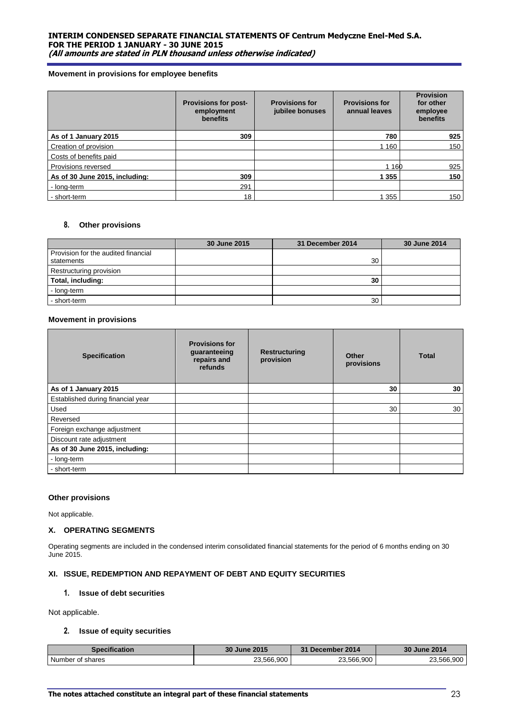#### **Movement in provisions for employee benefits**

|                                | <b>Provisions for post-</b><br>employment<br>benefits | <b>Provisions for</b><br>jubilee bonuses | <b>Provisions for</b><br>annual leaves | <b>Provision</b><br>for other<br>employee<br>benefits |
|--------------------------------|-------------------------------------------------------|------------------------------------------|----------------------------------------|-------------------------------------------------------|
| As of 1 January 2015           | 309                                                   |                                          | 780                                    | 925                                                   |
| Creation of provision          |                                                       |                                          | 1 1 6 0                                | 150                                                   |
| Costs of benefits paid         |                                                       |                                          |                                        |                                                       |
| Provisions reversed            |                                                       |                                          | 1 1 6 0                                | 925                                                   |
| As of 30 June 2015, including: | 309                                                   |                                          | 1 355                                  | 150                                                   |
| - long-term                    | 291                                                   |                                          |                                        |                                                       |
| - short-term                   | 18                                                    |                                          | 1 355                                  | 150                                                   |

## **8. Other provisions**

|                                                   | 30 June 2015 | 31 December 2014 | 30 June 2014 |
|---------------------------------------------------|--------------|------------------|--------------|
| Provision for the audited financial<br>statements |              | 30               |              |
| Restructuring provision                           |              |                  |              |
| Total, including:                                 |              | 30               |              |
| - long-term                                       |              |                  |              |
| - short-term                                      |              | 30               |              |

## **Movement in provisions**

| <b>Specification</b>              | <b>Provisions for</b><br>guaranteeing<br>repairs and<br>refunds | <b>Restructuring</b><br>provision | <b>Other</b><br>provisions | <b>Total</b> |  |
|-----------------------------------|-----------------------------------------------------------------|-----------------------------------|----------------------------|--------------|--|
| As of 1 January 2015              |                                                                 |                                   | 30                         | 30           |  |
| Established during financial year |                                                                 |                                   |                            |              |  |
| Used                              |                                                                 |                                   | 30                         | 30           |  |
| Reversed                          |                                                                 |                                   |                            |              |  |
| Foreign exchange adjustment       |                                                                 |                                   |                            |              |  |
| Discount rate adjustment          |                                                                 |                                   |                            |              |  |
| As of 30 June 2015, including:    |                                                                 |                                   |                            |              |  |
| - long-term                       |                                                                 |                                   |                            |              |  |
| - short-term                      |                                                                 |                                   |                            |              |  |

## **Other provisions**

Not applicable.

## **X. OPERATING SEGMENTS**

Operating segments are included in the condensed interim consolidated financial statements for the period of 6 months ending on 30 June 2015.

## **XI. ISSUE, REDEMPTION AND REPAYMENT OF DEBT AND EQUITY SECURITIES**

#### **1. Issue of debt securities**

Not applicable.

## **2. Issue of equity securities**

| <b>Specification</b> | 30 June 2015 | 31 December 2014 | 30 June 2014 |
|----------------------|--------------|------------------|--------------|
| Number of shares     | 23.566.900   | 23,566,900       | 23,566,900   |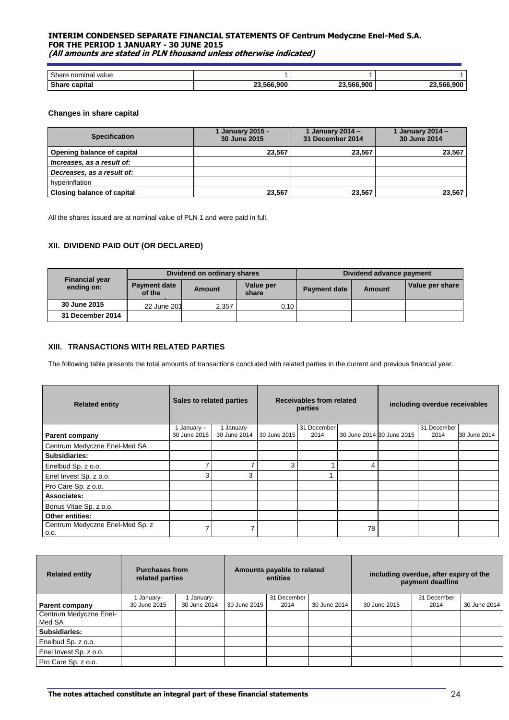| Share nominal<br>value |            |            |         |
|------------------------|------------|------------|---------|
| <b>Share capital</b>   | 23.566.900 | 23.566.900 | 566.900 |
|                        | nn.        |            | $\sim$  |

#### **Changes in share capital**

| <b>Specification</b>       | 1 January 2015 -<br>30 June 2015 | 1 January 2014 –<br>31 December 2014 | 1 January 2014 $-$<br>30 June 2014 |
|----------------------------|----------------------------------|--------------------------------------|------------------------------------|
| Opening balance of capital | 23.567                           | 23.567                               | 23,567                             |
| Increases, as a result of: |                                  |                                      |                                    |
| Decreases, as a result of: |                                  |                                      |                                    |
| hyperinflation             |                                  |                                      |                                    |
| Closing balance of capital | 23.567                           | 23.567                               | 23,567                             |

All the shares issued are at nominal value of PLN 1 and were paid in full.

## **XII. DIVIDEND PAID OUT (OR DECLARED)**

| <b>Financial year</b> | Dividend on ordinary shares   |        |                    | Dividend advance payment |        |                 |
|-----------------------|-------------------------------|--------|--------------------|--------------------------|--------|-----------------|
| ending on:            | <b>Payment date</b><br>of the | Amount | Value per<br>share | <b>Payment date</b>      | Amount | Value per share |
| 30 June 2015          | 22 June 201                   | 2,357  | 0.10               |                          |        |                 |
| 31 December 2014      |                               |        |                    |                          |        |                 |

## **XIII. TRANSACTIONS WITH RELATED PARTIES**

The following table presents the total amounts of transactions concluded with related parties in the current and previous financial year.

| <b>Related entity</b>                   | Sales to related parties |              |              | Receivables from related<br>parties |    |                           | including overdue receivables |              |
|-----------------------------------------|--------------------------|--------------|--------------|-------------------------------------|----|---------------------------|-------------------------------|--------------|
|                                         | 1 January $-$            | January-     |              | 31 December                         |    |                           | 31 December                   |              |
| <b>Parent company</b>                   | 30 June 2015             | 30 June 2014 | 30 June 2015 | 2014                                |    | 30 June 2014 30 June 2015 | 2014                          | 30 June 2014 |
| Centrum Medyczne Enel-Med SA            |                          |              |              |                                     |    |                           |                               |              |
| Subsidiaries:                           |                          |              |              |                                     |    |                           |                               |              |
| Enelbud Sp. z o.o.                      | ⇁                        | ⇁            | 3            |                                     | 4  |                           |                               |              |
| Enel Invest Sp. z o.o.                  | 3                        | 3            |              |                                     |    |                           |                               |              |
| Pro Care Sp. z o.o.                     |                          |              |              |                                     |    |                           |                               |              |
| Associates:                             |                          |              |              |                                     |    |                           |                               |              |
| Bonus Vitae Sp. z o.o.                  |                          |              |              |                                     |    |                           |                               |              |
| <b>Other entities:</b>                  |                          |              |              |                                     |    |                           |                               |              |
| Centrum Medyczne Enel-Med Sp. z<br>0.0. |                          | 7            |              |                                     | 78 |                           |                               |              |

| <b>Related entity</b>  | <b>Purchases from</b><br>related parties |              | Amounts payable to related<br>entities |             |              | including overdue, after expiry of the<br>payment deadline |             |              |  |
|------------------------|------------------------------------------|--------------|----------------------------------------|-------------|--------------|------------------------------------------------------------|-------------|--------------|--|
|                        | January-                                 | January-     |                                        | 31 December |              |                                                            | 31 December |              |  |
| <b>Parent company</b>  | 30 June 2015                             | 30 June 2014 | 30 June 2015                           | 2014        | 30 June 2014 | 30 June 2015                                               | 2014        | 30 June 2014 |  |
| Centrum Medyczne Enel- |                                          |              |                                        |             |              |                                                            |             |              |  |
| Med SA                 |                                          |              |                                        |             |              |                                                            |             |              |  |
| Subsidiaries:          |                                          |              |                                        |             |              |                                                            |             |              |  |
| Enelbud Sp. z o.o.     |                                          |              |                                        |             |              |                                                            |             |              |  |
| Enel Invest Sp. z o.o. |                                          |              |                                        |             |              |                                                            |             |              |  |
| Pro Care Sp. z o.o.    |                                          |              |                                        |             |              |                                                            |             |              |  |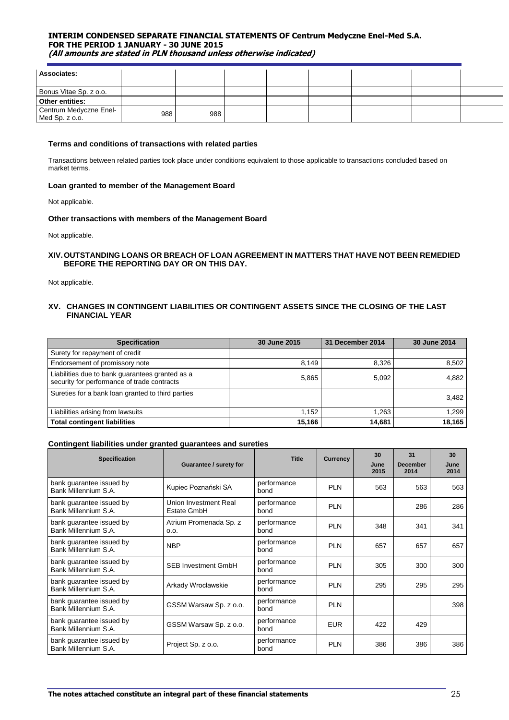| Associates:                              |     |     |  |  |  |
|------------------------------------------|-----|-----|--|--|--|
| Bonus Vitae Sp. z o.o.                   |     |     |  |  |  |
| Other entities:                          |     |     |  |  |  |
| Centrum Medyczne Enel-<br>Med Sp. z o.o. | 988 | 988 |  |  |  |

#### **Terms and conditions of transactions with related parties**

Transactions between related parties took place under conditions equivalent to those applicable to transactions concluded based on market terms.

#### **Loan granted to member of the Management Board**

Not applicable.

#### **Other transactions with members of the Management Board**

Not applicable.

#### **XIV.OUTSTANDING LOANS OR BREACH OF LOAN AGREEMENT IN MATTERS THAT HAVE NOT BEEN REMEDIED BEFORE THE REPORTING DAY OR ON THIS DAY.**

Not applicable.

## **XV. CHANGES IN CONTINGENT LIABILITIES OR CONTINGENT ASSETS SINCE THE CLOSING OF THE LAST FINANCIAL YEAR**

| <b>Specification</b>                                                                           | 30 June 2015 | 31 December 2014 | 30 June 2014 |
|------------------------------------------------------------------------------------------------|--------------|------------------|--------------|
| Surety for repayment of credit                                                                 |              |                  |              |
| Endorsement of promissory note                                                                 | 8,149        | 8,326            | 8,502        |
| Liabilities due to bank guarantees granted as a<br>security for performance of trade contracts | 5,865        | 5,092            | 4,882        |
| Sureties for a bank loan granted to third parties                                              |              |                  | 3,482        |
| Liabilities arising from lawsuits                                                              | 1.152        | .263             | 1.299        |
| <b>Total contingent liabilities</b>                                                            | 15,166       | 14,681           | 18,165       |

#### **Contingent liabilities under granted guarantees and sureties**

| <b>Specification</b>                             | Guarantee / surety for               | <b>Title</b>        | <b>Currency</b> |     | 31<br><b>December</b><br>2014 | 30<br>June<br>2014 |
|--------------------------------------------------|--------------------------------------|---------------------|-----------------|-----|-------------------------------|--------------------|
| bank guarantee issued by<br>Bank Millennium S.A. | Kupiec Poznański SA                  | performance<br>bond | <b>PLN</b>      | 563 | 563                           | 563                |
| bank guarantee issued by<br>Bank Millennium S.A. | Union Investment Real<br>Estate GmbH | performance<br>bond | <b>PLN</b>      |     | 286                           | 286                |
| bank guarantee issued by<br>Bank Millennium S.A. | Atrium Promenada Sp. z<br>0.0.       | performance<br>bond | <b>PLN</b>      | 348 | 341                           | 341                |
| bank guarantee issued by<br>Bank Millennium S.A. | <b>NBP</b>                           | performance<br>bond | <b>PLN</b>      | 657 | 657                           | 657                |
| bank guarantee issued by<br>Bank Millennium S.A. | <b>SFB Investment GmbH</b>           | performance<br>bond | <b>PLN</b>      | 305 | 300                           | 300                |
| bank guarantee issued by<br>Bank Millennium S.A. | Arkady Wrocławskie                   | performance<br>bond | <b>PLN</b>      | 295 | 295                           | 295                |
| bank guarantee issued by<br>Bank Millennium S.A. | GSSM Warsaw Sp. z o.o.               | performance<br>bond | <b>PLN</b>      |     |                               | 398                |
| bank guarantee issued by<br>Bank Millennium S.A. | GSSM Warsaw Sp. z o.o.               | performance<br>bond | <b>EUR</b>      | 422 | 429                           |                    |
| bank guarantee issued by<br>Bank Millennium S.A. | Project Sp. z o.o.                   | performance<br>bond | <b>PLN</b>      | 386 | 386                           | 386                |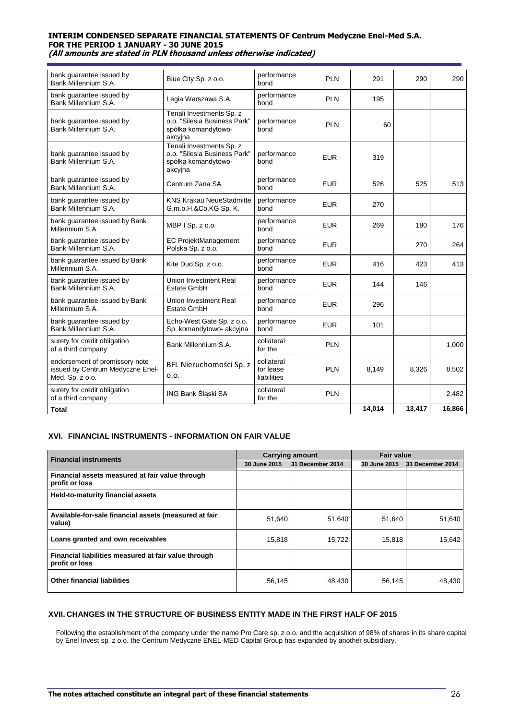| bank guarantee issued by<br>Bank Millennium S.A.                                      | Blue City Sp. z o.o.                                                                       | performance<br>bond                    | <b>PLN</b> | 291    | 290    | 290    |
|---------------------------------------------------------------------------------------|--------------------------------------------------------------------------------------------|----------------------------------------|------------|--------|--------|--------|
| bank guarantee issued by<br>Bank Millennium S.A.                                      | Legia Warszawa S.A.                                                                        | performance<br>bond                    | <b>PLN</b> | 195    |        |        |
| bank guarantee issued by<br>Bank Millennium S.A.                                      | Tenali Investments Sp. z<br>o.o. "Silesia Business Park"<br>spółka komandytowo-<br>akcyjna | performance<br>bond                    | <b>PLN</b> | 60     |        |        |
| bank guarantee issued by<br>Bank Millennium S.A.                                      | Tenali Investments Sp. z<br>o.o. "Silesia Business Park"<br>spółka komandytowo-<br>akcyjna | performance<br>bond                    | <b>EUR</b> | 319    |        |        |
| bank guarantee issued by<br>Bank Millennium S.A.                                      | Centrum Zana SA                                                                            | performance<br>bond                    | <b>EUR</b> | 526    | 525    | 513    |
| bank guarantee issued by<br>Bank Millennium S.A.                                      | <b>KNS Krakau NeueStadmitte</b><br>G.m.b.H.&Co.KG Sp. K.                                   | performance<br>bond                    | <b>EUR</b> | 270    |        |        |
| bank guarantee issued by Bank<br>Millennium S.A.                                      | MBP I Sp. z o.o.                                                                           | performance<br>bond                    | <b>EUR</b> | 269    | 180    | 176    |
| bank quarantee issued by<br>Bank Millennium S.A.                                      | <b>EC ProjektManagement</b><br>Polska Sp. z o.o.                                           | performance<br>bond                    | <b>EUR</b> |        | 270    | 264    |
| bank guarantee issued by Bank<br>Millennium S.A.                                      | Kite Duo Sp. z o.o.                                                                        | performance<br>bond                    | <b>EUR</b> | 416    | 423    | 413    |
| bank guarantee issued by<br>Bank Millennium S.A.                                      | Union Investment Real<br>Estate GmbH                                                       | performance<br>bond                    | <b>EUR</b> | 144    | 146    |        |
| bank guarantee issued by Bank<br>Millennium S.A.                                      | Union Investment Real<br>Estate GmbH                                                       | performance<br>bond                    | <b>EUR</b> | 296    |        |        |
| bank guarantee issued by<br>Bank Millennium S.A.                                      | Echo-West Gate Sp. z o.o.<br>Sp. komandytowo- akcyjna                                      | performance<br>bond                    | <b>EUR</b> | 101    |        |        |
| surety for credit obligation<br>of a third company                                    | Bank Millennium S.A.                                                                       | collateral<br>for the                  | <b>PLN</b> |        |        | 1,000  |
| endorsement of promissory note<br>issued by Centrum Medyczne Enel-<br>Med. Sp. z o.o. | BFL Nieruchomości Sp. z<br>0.0.                                                            | collateral<br>for lease<br>liabilities | <b>PLN</b> | 8,149  | 8.326  | 8,502  |
| surety for credit obligation<br>of a third company                                    | ING Bank Śląski SA                                                                         | collateral<br>for the                  | <b>PLN</b> |        |        | 2.482  |
| <b>Total</b>                                                                          |                                                                                            |                                        |            | 14,014 | 13,417 | 16,866 |

## **XVI. FINANCIAL INSTRUMENTS - INFORMATION ON FAIR VALUE**

| <b>Financial instruments</b>                                           | <b>Carrying amount</b> |                  |              | <b>Fair value</b> |  |  |  |
|------------------------------------------------------------------------|------------------------|------------------|--------------|-------------------|--|--|--|
|                                                                        | 30 June 2015           | 31 December 2014 | 30 June 2015 | 31 December 2014  |  |  |  |
| Financial assets measured at fair value through<br>profit or loss      |                        |                  |              |                   |  |  |  |
| Held-to-maturity financial assets                                      |                        |                  |              |                   |  |  |  |
| Available-for-sale financial assets (measured at fair<br>value)        | 51,640                 | 51.640           | 51,640       | 51,640            |  |  |  |
| Loans granted and own receivables                                      | 15,818                 | 15,722           | 15,818       | 15,642            |  |  |  |
| Financial liabilities measured at fair value through<br>profit or loss |                        |                  |              |                   |  |  |  |
| <b>Other financial liabilities</b>                                     | 56,145                 | 48,430           | 56,145       | 48,430            |  |  |  |

## **XVII. CHANGES IN THE STRUCTURE OF BUSINESS ENTITY MADE IN THE FIRST HALF OF 2015**

Following the establishment of the company under the name Pro Care sp. z o.o. and the acquisition of 98% of shares in its share capital by Enel Invest sp. z o.o. the Centrum Medyczne ENEL-MED Capital Group has expanded by another subsidiary.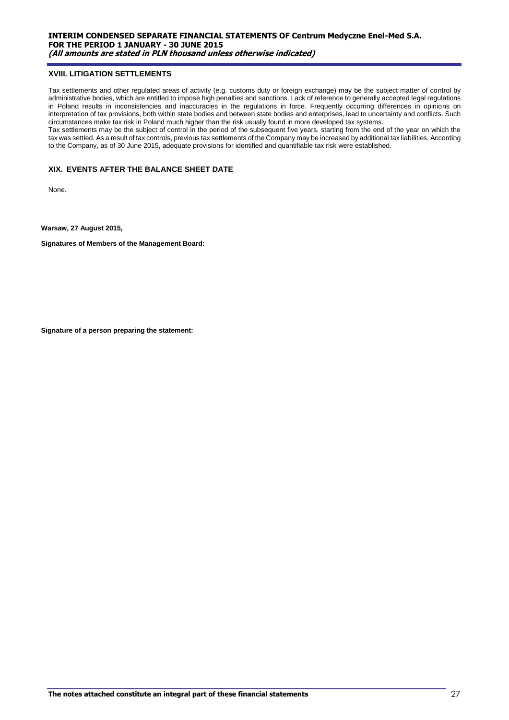#### **XVIII. LITIGATION SETTLEMENTS**

Tax settlements and other regulated areas of activity (e.g. customs duty or foreign exchange) may be the subject matter of control by administrative bodies, which are entitled to impose high penalties and sanctions. Lack of reference to generally accepted legal regulations in Poland results in inconsistencies and inaccuracies in the regulations in force. Frequently occurring differences in opinions on interpretation of tax provisions, both within state bodies and between state bodies and enterprises, lead to uncertainty and conflicts. Such circumstances make tax risk in Poland much higher than the risk usually found in more developed tax systems.

Tax settlements may be the subject of control in the period of the subsequent five years, starting from the end of the year on which the tax was settled. As a result of tax controls, previous tax settlements of the Company may be increased by additional tax liabilities. According to the Company, as of 30 June 2015, adequate provisions for identified and quantifiable tax risk were established.

## **XIX. EVENTS AFTER THE BALANCE SHEET DATE**

None.

**Warsaw, 27 August 2015,** 

**Signatures of Members of the Management Board:**